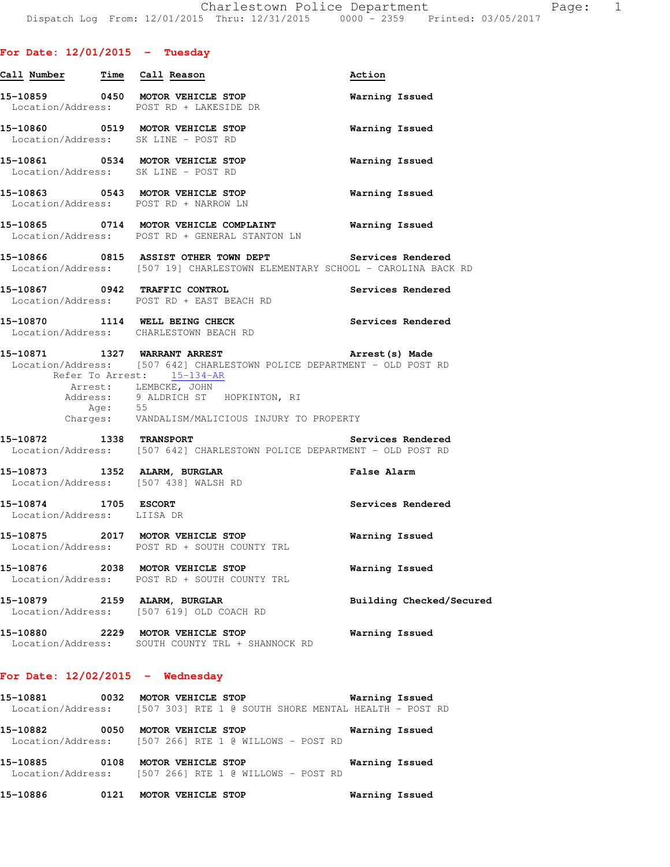## **For Date: 12/01/2015 - Tuesday**

| Call Number Time Call Reason                                            |                                                                                                                                                                                                                                                                     | Action                   |
|-------------------------------------------------------------------------|---------------------------------------------------------------------------------------------------------------------------------------------------------------------------------------------------------------------------------------------------------------------|--------------------------|
|                                                                         | 15-10859 0450 MOTOR VEHICLE STOP<br>Location/Address: POST RD + LAKESIDE DR                                                                                                                                                                                         | Warning Issued           |
| Location/Address: SK LINE - POST RD                                     | 15-10860 0519 MOTOR VEHICLE STOP                                                                                                                                                                                                                                    | Warning Issued           |
| 15-10861 0534 MOTOR VEHICLE STOP<br>Location/Address: SK LINE - POST RD |                                                                                                                                                                                                                                                                     | Warning Issued           |
|                                                                         | 15-10863 0543 MOTOR VEHICLE STOP<br>Location/Address: POST RD + NARROW LN                                                                                                                                                                                           | Warning Issued           |
|                                                                         | 15-10865 0714 MOTOR VEHICLE COMPLAINT Warning Issued<br>Location/Address: POST RD + GENERAL STANTON LN                                                                                                                                                              |                          |
|                                                                         | 15-10866 0815 ASSIST OTHER TOWN DEPT Services Rendered<br>Location/Address: [507 19] CHARLESTOWN ELEMENTARY SCHOOL - CAROLINA BACK RD                                                                                                                               |                          |
|                                                                         | 15-10867 0942 TRAFFIC CONTROL<br>Location/Address: POST RD + EAST BEACH RD                                                                                                                                                                                          | Services Rendered        |
|                                                                         | 15-10870 1114 WELL BEING CHECK<br>Location/Address: CHARLESTOWN BEACH RD                                                                                                                                                                                            | Services Rendered        |
|                                                                         | 15-10871 1327 WARRANT ARREST<br>Location/Address: [507 642] CHARLESTOWN POLICE DEPARTMENT - OLD POST RD<br>Refer To Arrest: 15-134-AR<br>Arrest: LEMBCKE, JOHN<br>Address: 9 ALDRICH ST HOPKINTON, RI<br>Age: 55<br>Charges: VANDALISM/MALICIOUS INJURY TO PROPERTY | Arrest(s) Made           |
| 15-10872 1338 TRANSPORT                                                 | Location/Address: [507 642] CHARLESTOWN POLICE DEPARTMENT - OLD POST RD                                                                                                                                                                                             | Services Rendered        |
| Location/Address: [507 438] WALSH RD                                    | 15-10873 1352 ALARM, BURGLAR                                                                                                                                                                                                                                        | False Alarm              |
| 15-10874 1705 ESCORT<br>Location/Address: LIISA DR                      |                                                                                                                                                                                                                                                                     | Services Rendered        |
|                                                                         | 15-10875 2017 MOTOR VEHICLE STOP<br>Location/Address: POST RD + SOUTH COUNTY TRL                                                                                                                                                                                    | Warning Issued           |
| 15-10876                                                                | 2038 MOTOR VEHICLE STOP<br>Location/Address: POST RD + SOUTH COUNTY TRL                                                                                                                                                                                             | Warning Issued           |
| 15-10879                                                                | 2159 ALARM, BURGLAR<br>Location/Address: [507 619] OLD COACH RD                                                                                                                                                                                                     | Building Checked/Secured |
| 15-10880<br>Location/Address:                                           | 2229 MOTOR VEHICLE STOP<br>SOUTH COUNTY TRL + SHANNOCK RD                                                                                                                                                                                                           | Warning Issued           |
|                                                                         |                                                                                                                                                                                                                                                                     |                          |

## **For Date: 12/02/2015 - Wednesday**

| 15-10881          | 0032 | <b>MOTOR VEHICLE STOP</b> |  |  |  | Warning Issued                                        |  |  |
|-------------------|------|---------------------------|--|--|--|-------------------------------------------------------|--|--|
| Location/Address: |      |                           |  |  |  | [507 303] RTE 1 @ SOUTH SHORE MENTAL HEALTH - POST RD |  |  |

**15-10882 0050 MOTOR VEHICLE STOP Warning Issued**  Location/Address: [507 266] RTE 1 @ WILLOWS - POST RD

**15-10885 0108 MOTOR VEHICLE STOP Warning Issued**  Location/Address: [507 266] RTE 1 @ WILLOWS - POST RD

**15-10886 0121 MOTOR VEHICLE STOP Warning Issued**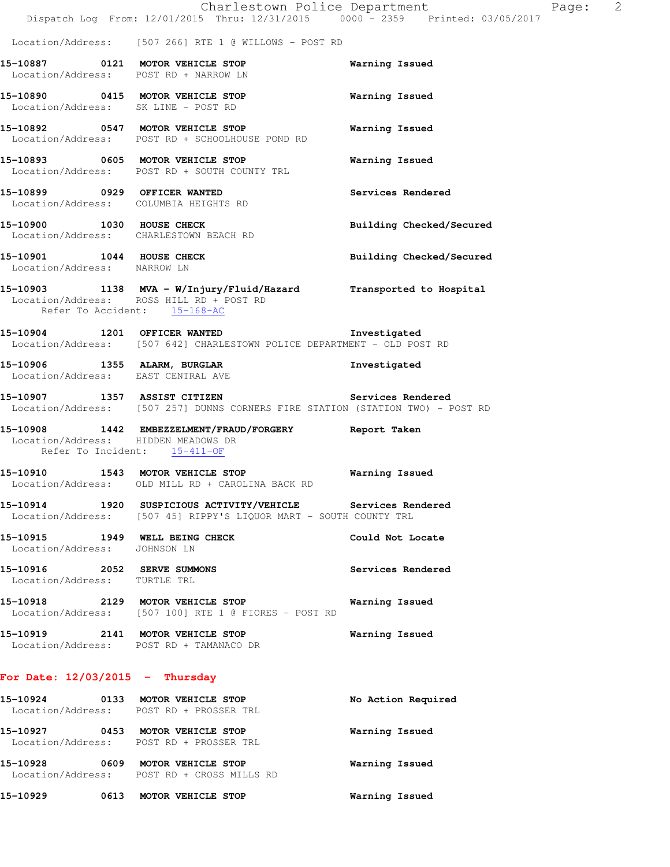|                                                                     | Dispatch Log From: 12/01/2015 Thru: 12/31/2015 0000 <sup>-</sup> 2359 Printed: 03/05/2017                                                     | Charlestown Police Department | Page: 2 |  |
|---------------------------------------------------------------------|-----------------------------------------------------------------------------------------------------------------------------------------------|-------------------------------|---------|--|
|                                                                     | Location/Address: [507 266] RTE 1 @ WILLOWS - POST RD                                                                                         |                               |         |  |
|                                                                     | 15-10887 0121 MOTOR VEHICLE STOP<br>Location/Address: POST RD + NARROW LN                                                                     | Warning Issued                |         |  |
|                                                                     | 15-10890 0415 MOTOR VEHICLE STOP<br>Location/Address: SK LINE - POST RD                                                                       | Warning Issued                |         |  |
|                                                                     | 15-10892 0547 MOTOR VEHICLE STOP<br>Location/Address: POST RD + SCHOOLHOUSE POND RD                                                           | Warning Issued                |         |  |
|                                                                     | 15-10893 0605 MOTOR VEHICLE STOP<br>Location/Address: POST RD + SOUTH COUNTY TRL                                                              | Warning Issued                |         |  |
| 15-10899 0929 OFFICER WANTED                                        | Location/Address: COLUMBIA HEIGHTS RD                                                                                                         | Services Rendered             |         |  |
|                                                                     | 15-10900 1030 HOUSE CHECK<br>Location/Address: CHARLESTOWN BEACH RD                                                                           | Building Checked/Secured      |         |  |
| 15-10901 1044 HOUSE CHECK<br>Location/Address: NARROW LN            |                                                                                                                                               | Building Checked/Secured      |         |  |
|                                                                     | 15-10903 1138 MVA - W/Injury/Fluid/Hazard Transported to Hospital<br>Location/Address: ROSS HILL RD + POST RD<br>Refer To Accident: 15-168-AC |                               |         |  |
|                                                                     | 15-10904 1201 OFFICER WANTED<br>Location/Address: [507 642] CHARLESTOWN POLICE DEPARTMENT - OLD POST RD                                       | Investigated                  |         |  |
| Location/Address: EAST CENTRAL AVE                                  | 15-10906 1355 ALARM, BURGLAR                                                                                                                  | Investigated                  |         |  |
| 15-10907 1357 ASSIST CITIZEN                                        | Location/Address: [507 257] DUNNS CORNERS FIRE STATION (STATION TWO) - POST RD                                                                | Services Rendered             |         |  |
| Location/Address: HIDDEN MEADOWS DR<br>Refer To Incident: 15-411-OF | 15-10908 1442 EMBEZZELMENT/FRAUD/FORGERY                                                                                                      | Report Taken                  |         |  |
|                                                                     | 15-10910 1543 MOTOR VEHICLE STOP<br>Location/Address: OLD MILL RD + CAROLINA BACK RD                                                          | Warning Issued                |         |  |
|                                                                     | 15-10914 1920 SUSPICIOUS ACTIVITY/VEHICLE Services Rendered<br>Location/Address: [507 45] RIPPY'S LIQUOR MART - SOUTH COUNTY TRL              |                               |         |  |
| Location/Address: JOHNSON LN                                        | 15-10915 1949 WELL BEING CHECK                                                                                                                | Could Not Locate              |         |  |
| 15-10916 2052 SERVE SUMMONS<br>Location/Address: TURTLE TRL         |                                                                                                                                               | Services Rendered             |         |  |
|                                                                     | 15-10918 2129 MOTOR VEHICLE STOP<br>Location/Address: [507 100] RTE 1 @ FIORES - POST RD                                                      | Warning Issued                |         |  |
|                                                                     | 15-10919 2141 MOTOR VEHICLE STOP<br>Location/Address: POST RD + TAMANACO DR                                                                   | Warning Issued                |         |  |
| For Date: $12/03/2015$ - Thursday                                   |                                                                                                                                               |                               |         |  |
|                                                                     | 15-10924 0133 MOTOR VEHICLE STOP<br>Location/Address: POST RD + PROSSER TRL                                                                   | No Action Required            |         |  |
|                                                                     | 15-10927 0453 MOTOR VEHICLE STOP                                                                                                              | Warning Issued                |         |  |

**15-10928 0609 MOTOR VEHICLE STOP Warning Issued**  Location/Address: POST RD + CROSS MILLS RD

Location/Address: POST RD + PROSSER TRL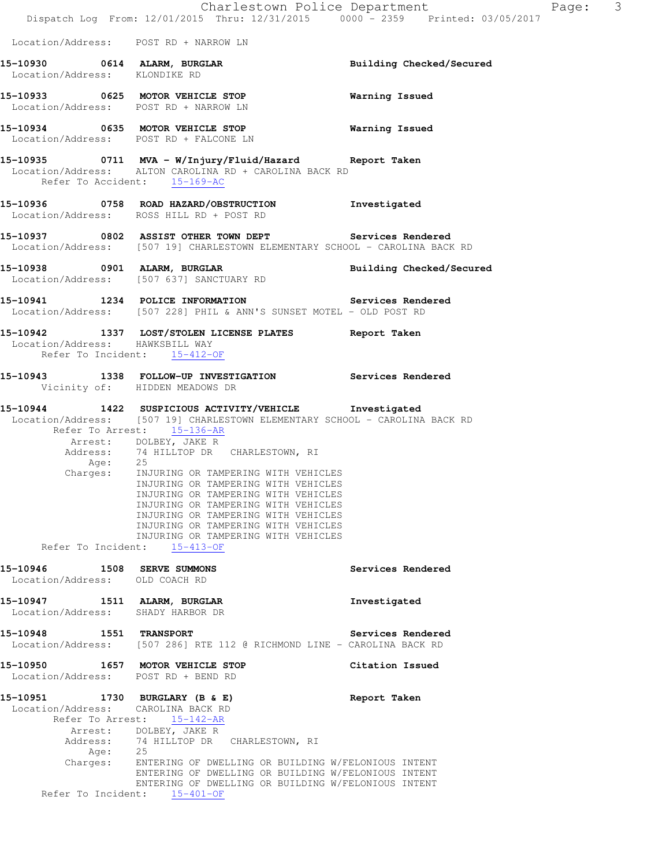|                                                                         | Charlestown Police Department<br>Dispatch Log From: 12/01/2015 Thru: 12/31/2015 0000 - 2359 Printed: 03/05/2017                                                                                                                                                                                                                                                                                                                                                                                                                         |                          | $\overline{\phantom{a}}$<br>Page: |  |
|-------------------------------------------------------------------------|-----------------------------------------------------------------------------------------------------------------------------------------------------------------------------------------------------------------------------------------------------------------------------------------------------------------------------------------------------------------------------------------------------------------------------------------------------------------------------------------------------------------------------------------|--------------------------|-----------------------------------|--|
| Location/Address: POST RD + NARROW LN                                   |                                                                                                                                                                                                                                                                                                                                                                                                                                                                                                                                         |                          |                                   |  |
| 15-10930 0614 ALARM, BURGLAR<br>Location/Address: KLONDIKE RD           |                                                                                                                                                                                                                                                                                                                                                                                                                                                                                                                                         | Building Checked/Secured |                                   |  |
| Location/Address: POST RD + NARROW LN                                   | 15-10933 0625 MOTOR VEHICLE STOP                                                                                                                                                                                                                                                                                                                                                                                                                                                                                                        | Warning Issued           |                                   |  |
| 15-10934 0635 MOTOR VEHICLE STOP                                        | Location/Address: POST RD + FALCONE LN                                                                                                                                                                                                                                                                                                                                                                                                                                                                                                  | <b>Warning Issued</b>    |                                   |  |
| Refer To Accident: 15-169-AC                                            | 15-10935 0711 MVA - W/Injury/Fluid/Hazard Report Taken<br>Location/Address: ALTON CAROLINA RD + CAROLINA BACK RD                                                                                                                                                                                                                                                                                                                                                                                                                        |                          |                                   |  |
|                                                                         | 15-10936 0758 ROAD HAZARD/OBSTRUCTION Investigated<br>Location/Address: ROSS HILL RD + POST RD                                                                                                                                                                                                                                                                                                                                                                                                                                          |                          |                                   |  |
|                                                                         | 15-10937 0802 ASSIST OTHER TOWN DEPT Services Rendered<br>Location/Address: [507 19] CHARLESTOWN ELEMENTARY SCHOOL - CAROLINA BACK RD                                                                                                                                                                                                                                                                                                                                                                                                   |                          |                                   |  |
| 15-10938 0901 ALARM, BURGLAR                                            | Location/Address: [507 637] SANCTUARY RD                                                                                                                                                                                                                                                                                                                                                                                                                                                                                                | Building Checked/Secured |                                   |  |
|                                                                         | 15-10941 1234 POLICE INFORMATION Services Rendered<br>Location/Address: [507 228] PHIL & ANN'S SUNSET MOTEL - OLD POST RD                                                                                                                                                                                                                                                                                                                                                                                                               |                          |                                   |  |
| Location/Address: HAWKSBILL WAY<br>Refer To Incident: 15-412-OF         | 15-10942 1337 LOST/STOLEN LICENSE PLATES Report Taken                                                                                                                                                                                                                                                                                                                                                                                                                                                                                   |                          |                                   |  |
| Vicinity of: HIDDEN MEADOWS DR                                          | 15-10943 1338 FOLLOW-UP INVESTIGATION Services Rendered                                                                                                                                                                                                                                                                                                                                                                                                                                                                                 |                          |                                   |  |
| Age:<br>Refer To Incident: 15-413-OF                                    | 15-10944 1422 SUSPICIOUS ACTIVITY/VEHICLE Investigated<br>Location/Address: [507 19] CHARLESTOWN ELEMENTARY SCHOOL - CAROLINA BACK RD<br>Refer To Arrest: 15-136-AR<br>Arrest: DOLBEY, JAKE R<br>Address: 74 HILLTOP DR CHARLESTOWN, RI<br>25<br>Charges: INJURING OR TAMPERING WITH VEHICLES<br>INJURING OR TAMPERING WITH VEHICLES<br>INJURING OR TAMPERING WITH VEHICLES<br>INJURING OR TAMPERING WITH VEHICLES<br>INJURING OR TAMPERING WITH VEHICLES<br>INJURING OR TAMPERING WITH VEHICLES<br>INJURING OR TAMPERING WITH VEHICLES |                          |                                   |  |
| <b>15-10946 1508 SERVE SUMMONS</b><br>Location/Address: OLD COACH RD    |                                                                                                                                                                                                                                                                                                                                                                                                                                                                                                                                         | Services Rendered        |                                   |  |
| 15-10947 1511 ALARM, BURGLAR<br>Location/Address: SHADY HARBOR DR       |                                                                                                                                                                                                                                                                                                                                                                                                                                                                                                                                         | Investigated             |                                   |  |
|                                                                         | Location/Address: [507 286] RTE 112 @ RICHMOND LINE - CAROLINA BACK RD                                                                                                                                                                                                                                                                                                                                                                                                                                                                  | Services Rendered        |                                   |  |
| 15-10950 1657 MOTOR VEHICLE STOP<br>Location/Address: POST RD + BEND RD |                                                                                                                                                                                                                                                                                                                                                                                                                                                                                                                                         | Citation Issued          |                                   |  |
| 15-10951 1730 BURGLARY (B & E)<br>Location/Address: CAROLINA BACK RD    | Refer To Arrest: 15-142-AR<br>Arrest: DOLBEY, JAKE R<br>Address: 74 HILLTOP DR CHARLESTOWN, RI                                                                                                                                                                                                                                                                                                                                                                                                                                          | Report Taken             |                                   |  |
| Age:<br>Refer To Incident: 15-401-OF                                    | 25<br>Charges: ENTERING OF DWELLING OR BUILDING W/FELONIOUS INTENT<br>ENTERING OF DWELLING OR BUILDING W/FELONIOUS INTENT<br>ENTERING OF DWELLING OR BUILDING W/FELONIOUS INTENT                                                                                                                                                                                                                                                                                                                                                        |                          |                                   |  |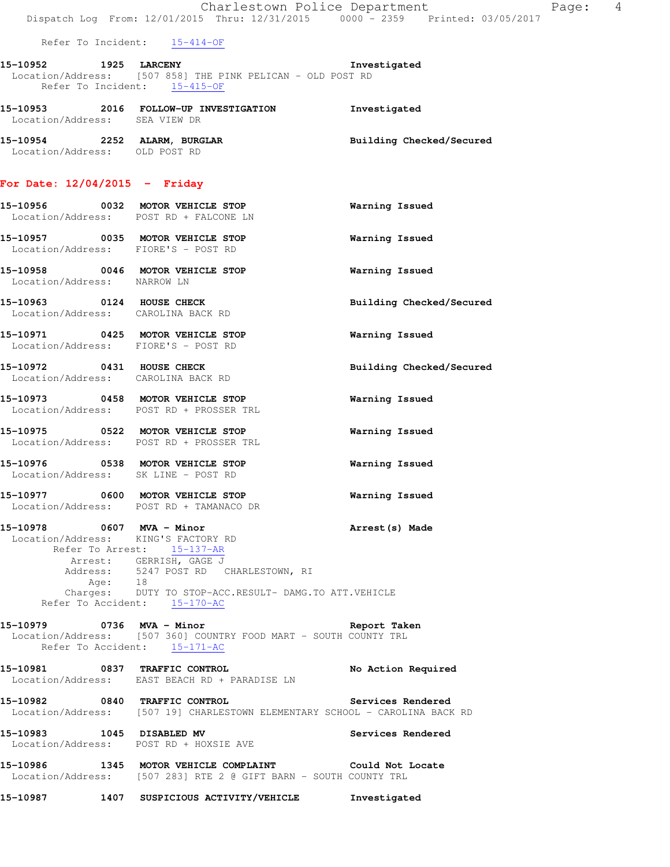|                                                                             | Dispatch Log From: 12/01/2015 Thru: 12/31/2015 0000 - 2359 Printed: 03/05/2017                                                                                                          | Charlestown Police Department | Page: | $\overline{4}$ |
|-----------------------------------------------------------------------------|-----------------------------------------------------------------------------------------------------------------------------------------------------------------------------------------|-------------------------------|-------|----------------|
| Refer To Incident: 15-414-OF                                                |                                                                                                                                                                                         |                               |       |                |
| 15-10952 1925 LARCENY                                                       | Location/Address: [507 858] THE PINK PELICAN - OLD POST RD<br>Refer To Incident: $15-415-OF$                                                                                            | Investigated                  |       |                |
| Location/Address: SEA VIEW DR                                               | 15-10953 2016 FOLLOW-UP INVESTIGATION Investigated                                                                                                                                      |                               |       |                |
| 15-10954 2252 ALARM, BURGLAR<br>Location/Address: OLD POST RD               |                                                                                                                                                                                         | Building Checked/Secured      |       |                |
| For Date: $12/04/2015$ - Friday                                             |                                                                                                                                                                                         |                               |       |                |
| 15-10956 0032 MOTOR VEHICLE STOP<br>Location/Address: POST RD + FALCONE LN  |                                                                                                                                                                                         | Warning Issued                |       |                |
| 15-10957 0035 MOTOR VEHICLE STOP<br>Location/Address: FIORE'S - POST RD     |                                                                                                                                                                                         | Warning Issued                |       |                |
| Location/Address: NARROW LN                                                 | 15-10958 0046 MOTOR VEHICLE STOP                                                                                                                                                        | Warning Issued                |       |                |
| 15-10963 0124 HOUSE CHECK<br>Location/Address: CAROLINA BACK RD             |                                                                                                                                                                                         | Building Checked/Secured      |       |                |
| 15-10971 0425 MOTOR VEHICLE STOP<br>Location/Address: FIORE'S - POST RD     |                                                                                                                                                                                         | Warning Issued                |       |                |
| 15-10972 0431 HOUSE CHECK<br>Location/Address: CAROLINA BACK RD             |                                                                                                                                                                                         | Building Checked/Secured      |       |                |
| 15-10973 0458 MOTOR VEHICLE STOP<br>Location/Address: POST RD + PROSSER TRL |                                                                                                                                                                                         | Warning Issued                |       |                |
| Location/Address: POST RD + PROSSER TRL                                     | 15-10975 0522 MOTOR VEHICLE STOP                                                                                                                                                        | Warning Issued                |       |                |
| 15-10976 0538 MOTOR VEHICLE STOP<br>Location/Address: SK LINE - POST RD     |                                                                                                                                                                                         | Warning Issued                |       |                |
| 15-10977 0600 MOTOR VEHICLE STOP                                            | Location/Address: POST RD + TAMANACO DR                                                                                                                                                 | Warning Issued                |       |                |
| 15-10978 0607 MVA - Minor<br>Location/Address: KING'S FACTORY RD<br>Age: 18 | Refer To Arrest: 15-137-AR<br>Arrest: GERRISH, GAGE J<br>Address: 5247 POST RD CHARLESTOWN, RI<br>Charges: DUTY TO STOP-ACC.RESULT- DAMG.TO ATT.VEHICLE<br>Refer To Accident: 15-170-AC | Arrest (s) Made               |       |                |
|                                                                             | Location/Address: [507 360] COUNTRY FOOD MART - SOUTH COUNTY TRL<br>Refer To Accident: 15-171-AC                                                                                        |                               |       |                |
|                                                                             | 15-10981 0837 TRAFFIC CONTROL<br>Location/Address: EAST BEACH RD + PARADISE LN                                                                                                          | No Action Required            |       |                |
|                                                                             | 15-10982 0840 TRAFFIC CONTROL<br>Location/Address: [507 19] CHARLESTOWN ELEMENTARY SCHOOL - CAROLINA BACK RD                                                                            | Services Rendered             |       |                |
| Location/Address: POST RD + HOXSIE AVE                                      | 15-10983 1045 DISABLED MV                                                                                                                                                               | Services Rendered             |       |                |
|                                                                             | 15-10986 1345 MOTOR VEHICLE COMPLAINT 6001d Not Locate<br>Location/Address: [507 283] RTE 2 @ GIFT BARN - SOUTH COUNTY TRL                                                              |                               |       |                |
|                                                                             | 15-10987 1407 SUSPICIOUS ACTIVITY/VEHICLE Investigated                                                                                                                                  |                               |       |                |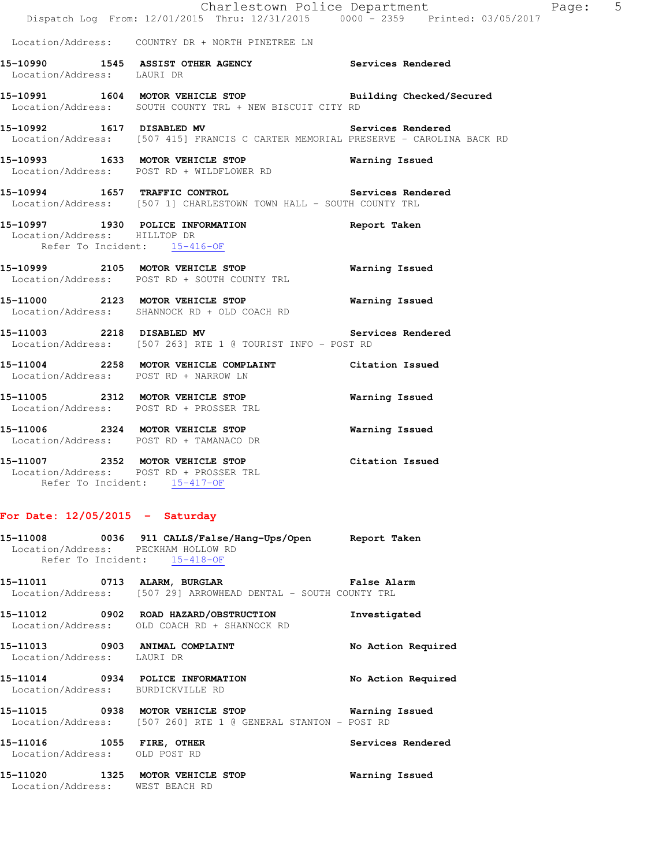|                                                              | Dispatch Log From: 12/01/2015 Thru: 12/31/2015 0000 - 2359 Printed: 03/05/2017                                             | Charlestown Police Department<br>Page: 5 |  |
|--------------------------------------------------------------|----------------------------------------------------------------------------------------------------------------------------|------------------------------------------|--|
|                                                              | Location/Address: COUNTRY DR + NORTH PINETREE LN                                                                           |                                          |  |
| Location/Address: LAURI DR                                   | 15-10990 1545 ASSIST OTHER AGENCY Services Rendered                                                                        |                                          |  |
|                                                              | 15-10991 1604 MOTOR VEHICLE STOP Building Checked/Secured<br>Location/Address: SOUTH COUNTY TRL + NEW BISCUIT CITY RD      |                                          |  |
|                                                              | 15-10992 1617 DISABLED MV<br>Location/Address: [507 415] FRANCIS C CARTER MEMORIAL PRESERVE - CAROLINA BACK RD             | Services Rendered                        |  |
|                                                              | 15-10993 1633 MOTOR VEHICLE STOP 6 Warning Issued<br>Location/Address: POST RD + WILDFLOWER RD                             |                                          |  |
|                                                              | 15-10994 1657 TRAFFIC CONTROL 2008 Services Rendered<br>Location/Address: [507 1] CHARLESTOWN TOWN HALL - SOUTH COUNTY TRL |                                          |  |
| Location/Address: HILLTOP DR<br>Refer To Incident: 15-416-OF | 15-10997 1930 POLICE INFORMATION                                                                                           | Report Taken                             |  |
|                                                              | 15-10999 2105 MOTOR VEHICLE STOP<br>Location/Address: POST RD + SOUTH COUNTY TRL                                           | Warning Issued                           |  |
|                                                              | 15-11000 2123 MOTOR VEHICLE STOP<br>Location/Address: SHANNOCK RD + OLD COACH RD                                           | Warning Issued                           |  |
|                                                              | 15-11003 2218 DISABLED MV<br>Location/Address: [507 263] RTE 1 @ TOURIST INFO - POST RD                                    | Services Rendered                        |  |
| Location/Address: POST RD + NARROW LN                        | 15-11004 2258 MOTOR VEHICLE COMPLAINT Citation Issued                                                                      |                                          |  |
|                                                              | 15-11005 2312 MOTOR VEHICLE STOP<br>Location/Address: POST RD + PROSSER TRL                                                | Warning Issued                           |  |
|                                                              | 15-11006 2324 MOTOR VEHICLE STOP<br>Location/Address: POST RD + TAMANACO DR                                                | Warning Issued                           |  |
| Refer To Incident: 15-417-OF                                 | 15-11007 2352 MOTOR VEHICLE STOP<br>Location/Address: POST RD + PROSSER TRL                                                | Citation Issued                          |  |

# **For Date: 12/05/2015 - Saturday**

|                                                                  | 15-11008 0036 911 CALLS/False/Hang-Ups/Open Report Taken<br>Location/Address: PECKHAM HOLLOW RD<br>Refer To Incident: 15-418-OF |                    |
|------------------------------------------------------------------|---------------------------------------------------------------------------------------------------------------------------------|--------------------|
|                                                                  | Location/Address: [507 29] ARROWHEAD DENTAL - SOUTH COUNTY TRL                                                                  |                    |
|                                                                  | 15-11012  0902  ROAD HAZARD/OBSTRUCTION<br>Location/Address: OLD COACH RD + SHANNOCK RD                                         | Investigated       |
| Location/Address: LAURI DR                                       | 15-11013 0903 ANIMAL COMPLAINT                                                                                                  | No Action Required |
| Location/Address: BURDICKVILLE RD                                | 15-11014 0934 POLICE INFORMATION                                                                                                | No Action Required |
|                                                                  | 15-11015 0938 MOTOR VEHICLE STOP 6 Warning Issued<br>  Location/Address: [507 260] RTE 1 @ GENERAL STANTON - POST RD            |                    |
| 15-11016    1055    FIRE, OTHER<br>Location/Address: OLD POST RD |                                                                                                                                 | Services Rendered  |
| Location/Address:                                                | 15-11020 1325 MOTOR VEHICLE STOP<br>WEST BEACH RD                                                                               | Warning Issued     |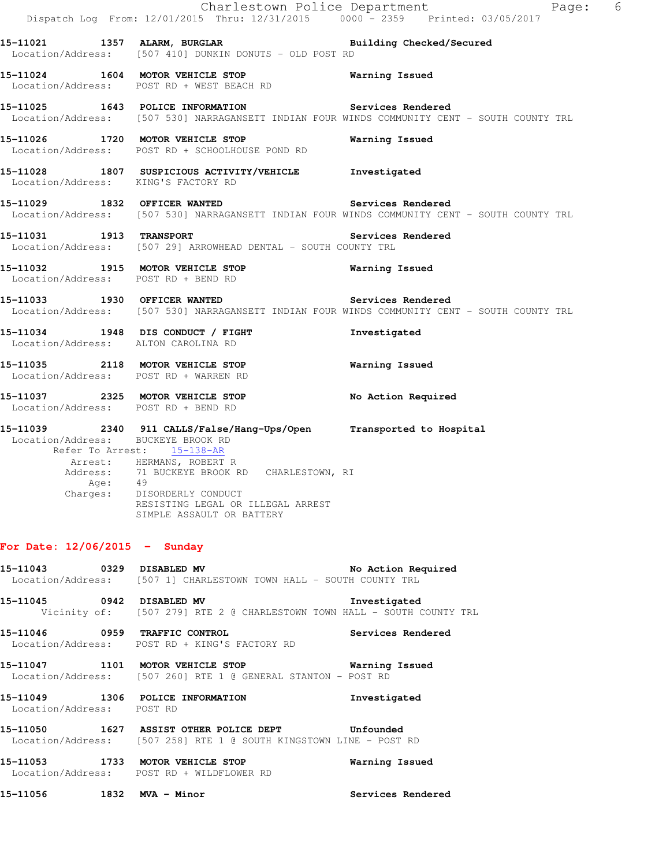|                                               | Dispatch Log From: 12/01/2015 Thru: 12/31/2015 0000 - 2359 Printed: 03/05/2017                                                                                                                                                                                                  | Charlestown Police Department<br>Page: 6                                                                                                           |
|-----------------------------------------------|---------------------------------------------------------------------------------------------------------------------------------------------------------------------------------------------------------------------------------------------------------------------------------|----------------------------------------------------------------------------------------------------------------------------------------------------|
|                                               | 15-11021 1357 ALARM, BURGLAR 1997 Building Checked/Secured<br>Location/Address: [507 410] DUNKIN DONUTS - OLD POST RD                                                                                                                                                           |                                                                                                                                                    |
|                                               | 15-11024 1604 MOTOR VEHICLE STOP 15 Warning Issued<br>Location/Address: POST RD + WEST BEACH RD                                                                                                                                                                                 |                                                                                                                                                    |
|                                               |                                                                                                                                                                                                                                                                                 | 15-11025 1643 POLICE INFORMATION Services Rendered<br>Location/Address: [507 530] NARRAGANSETT INDIAN FOUR WINDS COMMUNITY CENT - SOUTH COUNTY TRL |
|                                               | 15-11026 1720 MOTOR VEHICLE STOP<br>Location/Address: POST RD + SCHOOLHOUSE POND RD                                                                                                                                                                                             | Warning Issued                                                                                                                                     |
| Location/Address: KING'S FACTORY RD           | 15-11028 1807 SUSPICIOUS ACTIVITY/VEHICLE Investigated                                                                                                                                                                                                                          |                                                                                                                                                    |
|                                               | 15-11029 1832 OFFICER WANTED Services Rendered                                                                                                                                                                                                                                  | Location/Address: [507 530] NARRAGANSETT INDIAN FOUR WINDS COMMUNITY CENT - SOUTH COUNTY TRL                                                       |
|                                               | 15-11031 1913 TRANSPORT<br>Location/Address: [507 29] ARROWHEAD DENTAL - SOUTH COUNTY TRL                                                                                                                                                                                       | Services Rendered                                                                                                                                  |
| Location/Address: POST RD + BEND RD           | 15-11032 1915 MOTOR VEHICLE STOP <b>Warning Issued</b>                                                                                                                                                                                                                          |                                                                                                                                                    |
|                                               | 15-11033 1930 OFFICER WANTED Services Rendered                                                                                                                                                                                                                                  | Location/Address: [507 530] NARRAGANSETT INDIAN FOUR WINDS COMMUNITY CENT - SOUTH COUNTY TRL                                                       |
| Location/Address: ALTON CAROLINA RD           | 15-11034 1948 DIS CONDUCT / FIGHT                                                                                                                                                                                                                                               | Investigated                                                                                                                                       |
| Location/Address: POST RD + WARREN RD         | 15-11035 2118 MOTOR VEHICLE STOP 6 Warning Issued                                                                                                                                                                                                                               |                                                                                                                                                    |
| Location/Address: POST RD + BEND RD           | 15-11037 2325 MOTOR VEHICLE STOP                                                                                                                                                                                                                                                | No Action Required                                                                                                                                 |
| Location/Address: BUCKEYE BROOK RD<br>Age: 49 | 15-11039 2340 911 CALLS/False/Hang-Ups/Open Transported to Hospital<br>Refer To Arrest: 15-138-AR<br>Arrest: HERMANS, ROBERT R<br>Address: 71 BUCKEYE BROOK RD CHARLESTOWN, RI<br>Charges: DISORDERLY CONDUCT<br>RESISTING LEGAL OR ILLEGAL ARREST<br>SIMPLE ASSAULT OR BATTERY |                                                                                                                                                    |
| For Date: $12/06/2015$ - Sunday               |                                                                                                                                                                                                                                                                                 |                                                                                                                                                    |
|                                               | 15-11043 0329 DISABLED MV<br>Location/Address: [507 1] CHARLESTOWN TOWN HALL - SOUTH COUNTY TRL                                                                                                                                                                                 | No Action Required                                                                                                                                 |
|                                               | 15-11045 0942 DISABLED MV<br>Vicinity of: [507 279] RTE 2 @ CHARLESTOWN TOWN HALL - SOUTH COUNTY TRL                                                                                                                                                                            | Investigated                                                                                                                                       |
| 15-11046 0959 TRAFFIC CONTROL                 | Location/Address: POST RD + KING'S FACTORY RD                                                                                                                                                                                                                                   | Services Rendered                                                                                                                                  |
|                                               | 15-11047 1101 MOTOR VEHICLE STOP 6 Warning Issued<br>Location/Address: [507 260] RTE 1 @ GENERAL STANTON - POST RD                                                                                                                                                              |                                                                                                                                                    |
| Location/Address: POST RD                     | 15-11049 1306 POLICE INFORMATION                                                                                                                                                                                                                                                | Investigated                                                                                                                                       |
|                                               | 15-11050    1627    ASSIST OTHER POLICE DEPT    Unfounded<br>Location/Address: [507 258] RTE 1 @ SOUTH KINGSTOWN LINE - POST RD                                                                                                                                                 |                                                                                                                                                    |
| $15.11050$ $1700$ $10000$ $10000$ $100000$    |                                                                                                                                                                                                                                                                                 |                                                                                                                                                    |

**15-11053 1733 MOTOR VEHICLE STOP Warning Issued**  Location/Address: POST RD + WILDFLOWER RD

**15-11056 1832 MVA - Minor Services Rendered**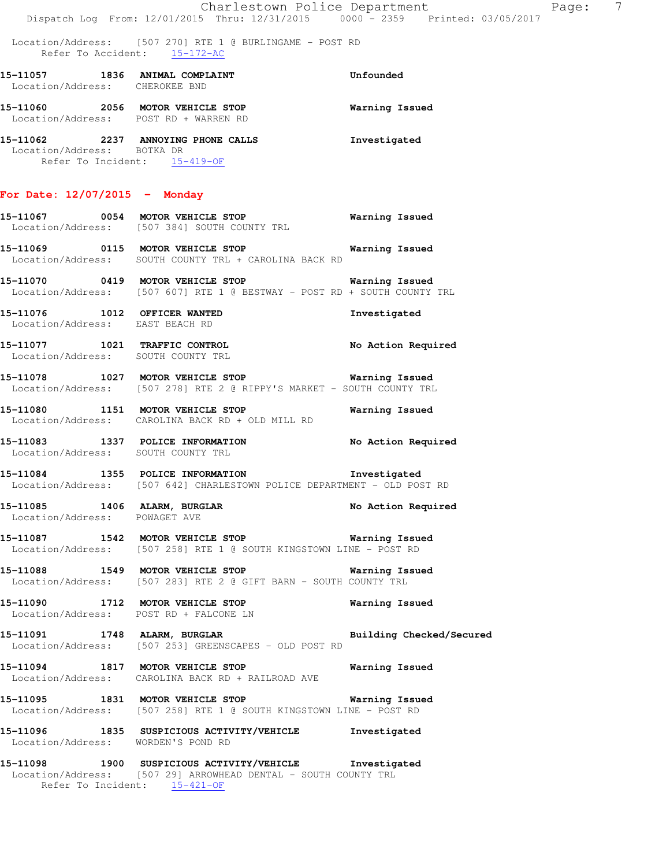|                                                |  |  | Charlestown Police Department   |  |  |
|------------------------------------------------|--|--|---------------------------------|--|--|
| Dispatch Log From: 12/01/2015 Thru: 12/31/2015 |  |  | 0000 - 2359 Printed: 03/05/2017 |  |  |

|                                                               | Location/Address: [507 270] RTE 1 @ BURLINGAME - POST RD<br>Refer To Accident: 15-172-AC                                       |                    |
|---------------------------------------------------------------|--------------------------------------------------------------------------------------------------------------------------------|--------------------|
| Location/Address: CHEROKEE BND                                | 15-11057 1836 ANIMAL COMPLAINT                                                                                                 | Unfounded          |
|                                                               | 15-11060 2056 MOTOR VEHICLE STOP 6 Warning Issued<br>Location/Address: POST RD + WARREN RD                                     |                    |
| Location/Address: BOTKA DR                                    | 15-11062 2237 ANNOYING PHONE CALLS<br>Refer To Incident: 15-419-OF                                                             | Investigated       |
| For Date: $12/07/2015$ - Monday                               |                                                                                                                                |                    |
|                                                               | 15-11067 0054 MOTOR VEHICLE STOP<br>Location/Address: [507 384] SOUTH COUNTY TRL                                               | Warning Issued     |
|                                                               | 15-11069 0115 MOTOR VEHICLE STOP Warning Issued<br>Location/Address: SOUTH COUNTY TRL + CAROLINA BACK RD                       |                    |
|                                                               | 15-11070 0419 MOTOR VEHICLE STOP 60 Warning Issued<br>Location/Address: [507 607] RTE 1 @ BESTWAY - POST RD + SOUTH COUNTY TRL |                    |
| Location/Address: EAST BEACH RD                               | 15-11076 1012 OFFICER WANTED                                                                                                   | Investigated       |
|                                                               | 15-11077 1021 TRAFFIC CONTROL<br>Location/Address: SOUTH COUNTY TRL                                                            | No Action Required |
|                                                               | 15-11078 1027 MOTOR VEHICLE STOP 6 Warning Issued<br>Location/Address: [507 278] RTE 2 @ RIPPY'S MARKET - SOUTH COUNTY TRL     |                    |
|                                                               | 15-11080 1151 MOTOR VEHICLE STOP 6 Warning Issued<br>Location/Address: CAROLINA BACK RD + OLD MILL RD                          |                    |
|                                                               | 15-11083 1337 POLICE INFORMATION<br>Location/Address: SOUTH COUNTY TRL                                                         | No Action Required |
|                                                               | 15-11084 1355 POLICE INFORMATION<br>Location/Address: [507 642] CHARLESTOWN POLICE DEPARTMENT - OLD POST RD                    | Investigated       |
| 15-11085 1406 ALARM, BURGLAR<br>Location/Address: POWAGET AVE |                                                                                                                                | No Action Required |

**15-11087 1542 MOTOR VEHICLE STOP Warning Issued**  Location/Address: [507 258] RTE 1 @ SOUTH KINGSTOWN LINE - POST RD

**15-11088 1549 MOTOR VEHICLE STOP Warning Issued**  Location/Address: [507 283] RTE 2 @ GIFT BARN - SOUTH COUNTY TRL

**15-11090 1712 MOTOR VEHICLE STOP Warning Issued**  Location/Address: POST RD + FALCONE LN

**15-11091 1748 ALARM, BURGLAR Building Checked/Secured**  Location/Address: [507 253] GREENSCAPES - OLD POST RD

**15-11094 1817 MOTOR VEHICLE STOP Warning Issued**  Location/Address: CAROLINA BACK RD + RAILROAD AVE

**15-11095 1831 MOTOR VEHICLE STOP Warning Issued**  Location/Address: [507 258] RTE 1 @ SOUTH KINGSTOWN LINE - POST RD

**15-11096 1835 SUSPICIOUS ACTIVITY/VEHICLE Investigated**  Location/Address: WORDEN'S POND RD

**15-11098 1900 SUSPICIOUS ACTIVITY/VEHICLE Investigated**  Location/Address: [507 29] ARROWHEAD DENTAL - SOUTH COUNTY TRL Refer To Incident: 15-421-OF

age: 7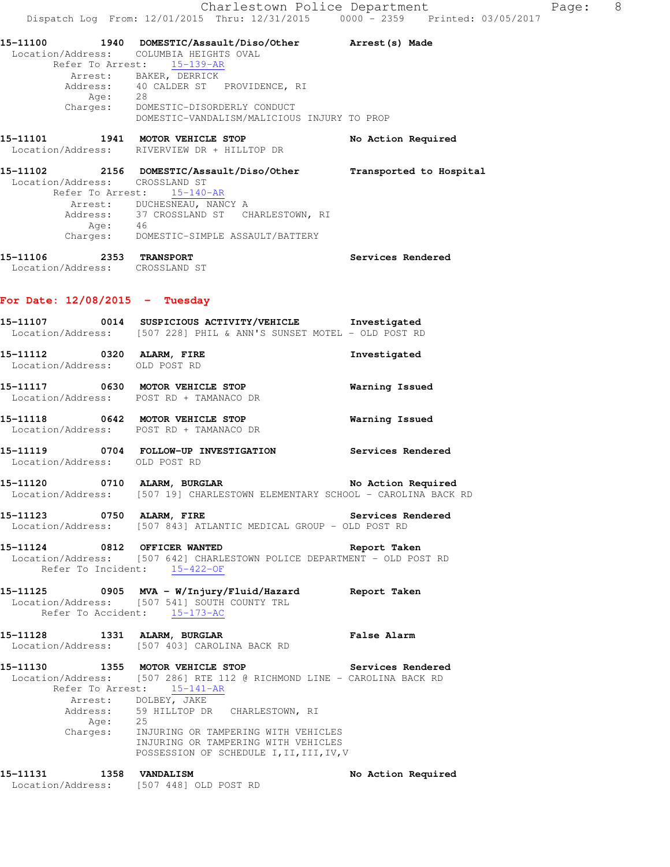| 15–11100 |                  | 1940 DOMESTIC/Assault/Diso/Other            | Arrest (s) Made         |
|----------|------------------|---------------------------------------------|-------------------------|
|          |                  | Location/Address: COLUMBIA HEIGHTS OVAL     |                         |
|          | Refer To Arrest: | $15 - 139 - AR$                             |                         |
|          |                  | Arrest: BAKER, DERRICK                      |                         |
|          | Address:         | 40 CALDER ST PROVIDENCE, RI                 |                         |
|          | Age:             | 28                                          |                         |
|          | Charges:         | DOMESTIC-DISORDERLY CONDUCT                 |                         |
|          |                  | DOMESTIC-VANDALISM/MALICIOUS INJURY TO PROP |                         |
| 15-11101 |                  | 1941 MOTOR VEHICLE STOP                     | No Action Required      |
|          |                  | Location/Address: RIVERVIEW DR + HILLTOP DR |                         |
| 15-11102 |                  | 2156 DOMESTIC/Assault/Diso/Other            | Transported to Hospital |
|          |                  | Location/Address: CROSSLAND ST              |                         |
|          | Refer To Arrest: | $15 - 140 - AR$                             |                         |
|          |                  | Arrest: DUCHESNEAU, NANCY A                 |                         |
|          |                  | Address: 37 CROSSLAND ST CHARLESTOWN, RI    |                         |
|          | Age:             | 46                                          |                         |
|          | Charges:         | DOMESTIC-SIMPLE ASSAULT/BATTERY             |                         |

| 15-11106          | 2353 | <b>TRANSPORT</b> | Services Rendered |
|-------------------|------|------------------|-------------------|
| Location/Address: |      | CROSSLAND ST     |                   |

#### **For Date: 12/08/2015 - Tuesday**

- **15-11107 0014 SUSPICIOUS ACTIVITY/VEHICLE Investigated**  Location/Address: [507 228] PHIL & ANN'S SUNSET MOTEL - OLD POST RD
- **15-11112 0320 ALARM, FIRE Investigated**  Location/Address: OLD POST RD
- **15-11117 0630 MOTOR VEHICLE STOP Warning Issued**  Location/Address: POST RD + TAMANACO DR
- **15-11118 0642 MOTOR VEHICLE STOP Warning Issued**  Location/Address: POST RD + TAMANACO DR
- **15-11119 0704 FOLLOW-UP INVESTIGATION Services Rendered**  Location/Address: OLD POST RD
- **15-11120 0710 ALARM, BURGLAR No Action Required**  Location/Address: [507 19] CHARLESTOWN ELEMENTARY SCHOOL - CAROLINA BACK RD
- **15-11123 0750 ALARM, FIRE Services Rendered**  Location/Address: [507 843] ATLANTIC MEDICAL GROUP - OLD POST RD
- **15-11124 0812 OFFICER WANTED Report Taken**  Location/Address: [507 642] CHARLESTOWN POLICE DEPARTMENT - OLD POST RD<br>Refer To Incident: 15-422-OF Refer To Incident:
- **15-11125 0905 MVA W/Injury/Fluid/Hazard Report Taken**  Location/Address: [507 541] SOUTH COUNTY TRL Refer To Accident: 15-173-AC
- **15-11128 1331 ALARM, BURGLAR False Alarm**  Location/Address: [507 403] CAROLINA BACK RD
- **15-11130 1355 MOTOR VEHICLE STOP Services Rendered**  Location/Address: [507 286] RTE 112 @ RICHMOND LINE - CAROLINA BACK RD Refer To Arrest: 15-141-AR Arrest: DOLBEY, JAKE Address: 59 HILLTOP DR CHARLESTOWN, RI<br>Add: 25 Age:<br>:Charges INJURING OR TAMPERING WITH VEHICLES INJURING OR TAMPERING WITH VEHICLES POSSESSION OF SCHEDULE I, II, III, IV, V

**15-11131 1358 VANDALISM No Action Required**  Location/Address: [507 448] OLD POST RD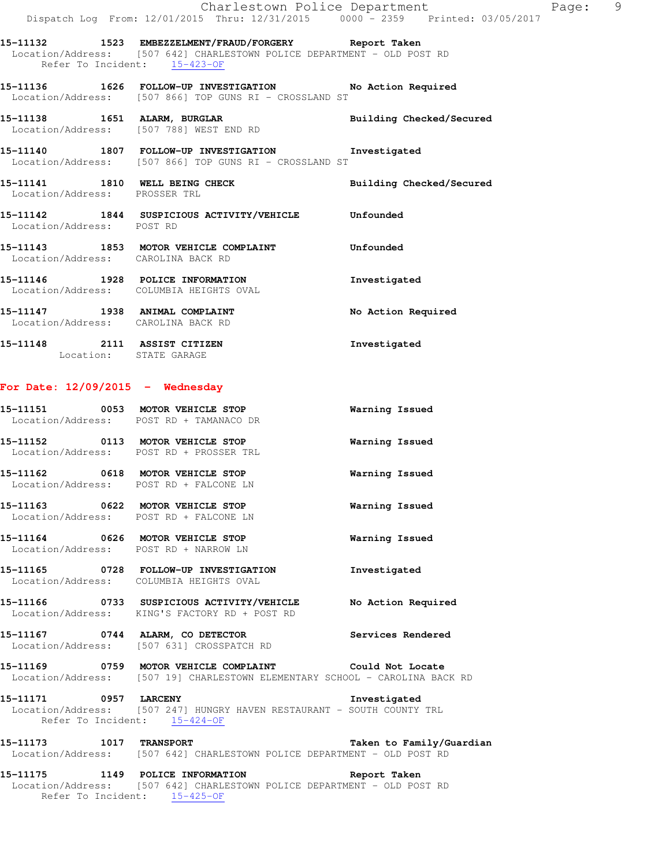**15-11132 1523 EMBEZZELMENT/FRAUD/FORGERY Report Taken**  Location/Address: [507 642] CHARLESTOWN POLICE DEPARTMENT - OLD POST RD Refer To Incident: 15-423-OF

**15-11136 1626 FOLLOW-UP INVESTIGATION No Action Required**  Location/Address: [507 866] TOP GUNS RI - CROSSLAND ST

**15-11138 1651 ALARM, BURGLAR Building Checked/Secured**  Location/Address: [507 788] WEST END RD

**15-11140 1807 FOLLOW-UP INVESTIGATION Investigated**  Location/Address: [507 866] TOP GUNS RI - CROSSLAND ST

**15-11141 1810 WELL BEING CHECK Building Checked/Secured**  Location/Address: PROSSER TRL

**15-11142 1844 SUSPICIOUS ACTIVITY/VEHICLE Unfounded**  Location/Address: POST RD

**15-11143 1853 MOTOR VEHICLE COMPLAINT Unfounded**  Location/Address: CAROLINA BACK RD

**15-11146 1928 POLICE INFORMATION Investigated**  Location/Address: COLUMBIA HEIGHTS OVAL

15-11147 1938 ANIMAL COMPLAINT **No Action Required** Location/Address: CAROLINA BACK RD

**15-11148 2111 ASSIST CITIZEN Investigated**  Location: STATE GARAGE

#### **For Date: 12/09/2015 - Wednesday**

|                   | 15-11151 0053 MOTOR VEHICLE STOP<br>Location/Address: POST RD + TAMANACO DR                | Warning Issued     |
|-------------------|--------------------------------------------------------------------------------------------|--------------------|
|                   | Location/Address: POST RD + PROSSER TRL                                                    | Warning Issued     |
|                   | Location/Address: POST RD + FALCONE LN                                                     | Warning Issued     |
|                   | Location/Address: POST RD + FALCONE LN                                                     | Warning Issued     |
|                   | Location/Address: POST RD + NARROW LN                                                      | Warning Issued     |
|                   | Location/Address: COLUMBIA HEIGHTS OVAL                                                    | Investigated       |
|                   | 15-11166 0733 SUSPICIOUS ACTIVITY/VEHICLE<br>Location/Address: KING'S FACTORY RD + POST RD | No Action Required |
| Location/Address: | 15-11167 0744 ALARM, CO DETECTOR<br>[507 631] CROSSPATCH RD                                | Services Rendered  |

**15-11169 0759 MOTOR VEHICLE COMPLAINT Could Not Locate**  Location/Address: [507 19] CHARLESTOWN ELEMENTARY SCHOOL - CAROLINA BACK RD

**15-11171 0957 LARCENY Investigated**  Location/Address: [507 247] HUNGRY HAVEN RESTAURANT - SOUTH COUNTY TRL Refer To Incident: 15-424-OF

**15-11173 1017 TRANSPORT Taken to Family/Guardian**  Location/Address: [507 642] CHARLESTOWN POLICE DEPARTMENT - OLD POST RD

**15-11175 1149 POLICE INFORMATION Report Taken**  Location/Address: [507 642] CHARLESTOWN POLICE DEPARTMENT - OLD POST RD Refer To Incident: 15-425-OF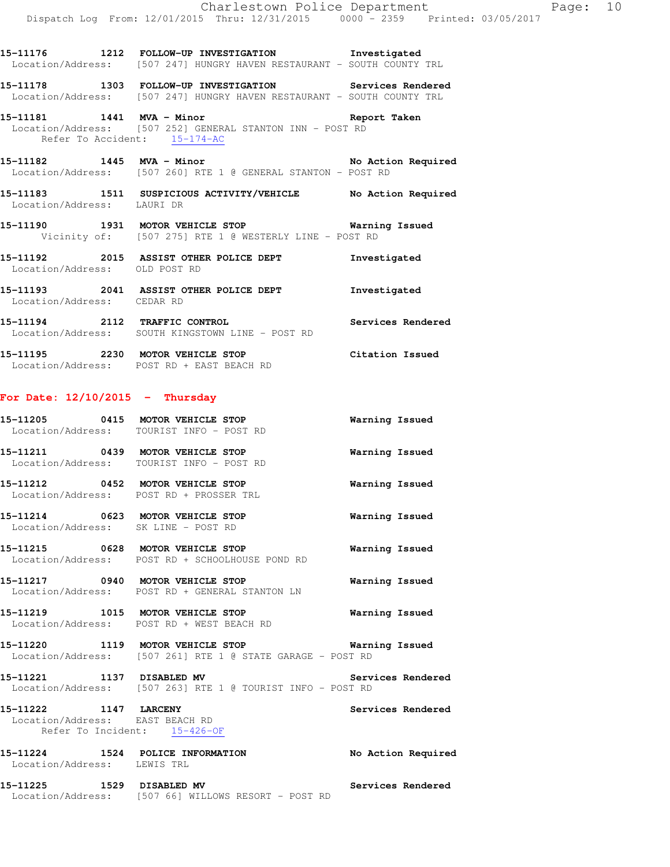**15-11176 1212 FOLLOW-UP INVESTIGATION Investigated**  Location/Address: [507 247] HUNGRY HAVEN RESTAURANT - SOUTH COUNTY TRL **15-11178 1303 FOLLOW-UP INVESTIGATION Services Rendered**  Location/Address: [507 247] HUNGRY HAVEN RESTAURANT - SOUTH COUNTY TRL

**15-11181 1441 MVA - Minor Report Taken**  Location/Address: [507 252] GENERAL STANTON INN - POST RD Refer To Accident: 15-174-AC

**15-11182 1445 MVA - Minor No Action Required**  Location/Address: [507 260] RTE 1 @ GENERAL STANTON - POST RD

**15-11183 1511 SUSPICIOUS ACTIVITY/VEHICLE No Action Required**  Location/Address: LAURI DR

**15-11190 1931 MOTOR VEHICLE STOP Warning Issued**  Vicinity of: [507 275] RTE 1 @ WESTERLY LINE - POST RD

**15-11192 2015 ASSIST OTHER POLICE DEPT Investigated**  Location/Address: OLD POST RD

**15-11193 2041 ASSIST OTHER POLICE DEPT Investigated**  Location/Address: CEDAR RD

**15-11194 2112 TRAFFIC CONTROL Services Rendered**  Location/Address: SOUTH KINGSTOWN LINE - POST RD

**15-11195 2230 MOTOR VEHICLE STOP Citation Issued**  Location/Address: POST RD + EAST BEACH RD

## **For Date: 12/10/2015 - Thursday**

| 15-11205<br>Location/Address: | 0415 | MOTOR VEHICLE STOP<br>TOURIST INFO - POST RD | Warning Issued |
|-------------------------------|------|----------------------------------------------|----------------|
| 15–11211<br>Location/Address: | 0439 | MOTOR VEHICLE STOP<br>TOURIST INFO - POST RD | Warning Issued |
| 15–11212<br>Location/Address: | 0452 | MOTOR VEHICLE STOP<br>POST RD + PROSSER TRL  | Warning Issued |

**15-11214 0623 MOTOR VEHICLE STOP Warning Issued**  Location/Address: SK LINE - POST RD

**15-11215 0628 MOTOR VEHICLE STOP Warning Issued**  Location/Address: POST RD + SCHOOLHOUSE POND RD

**15-11217 0940 MOTOR VEHICLE STOP Warning Issued**  Location/Address: POST RD + GENERAL STANTON LN

**15-11219 1015 MOTOR VEHICLE STOP Warning Issued**  Location/Address: POST RD + WEST BEACH RD

**15-11220 1119 MOTOR VEHICLE STOP Warning Issued**  Location/Address: [507 261] RTE 1 @ STATE GARAGE - POST RD

**15-11221 1137 DISABLED MV Services Rendered**  Location/Address: [507 263] RTE 1 @ TOURIST INFO - POST RD

**15-11222 1147 LARCENY Services Rendered**  Location/Address: EAST BEACH RD Refer To Incident: 15-426-OF

**15-11224 1524 POLICE INFORMATION No Action Required**  Location/Address: LEWIS TRL

**15-11225 1529 DISABLED MV Services Rendered**  Location/Address: [507 66] WILLOWS RESORT - POST RD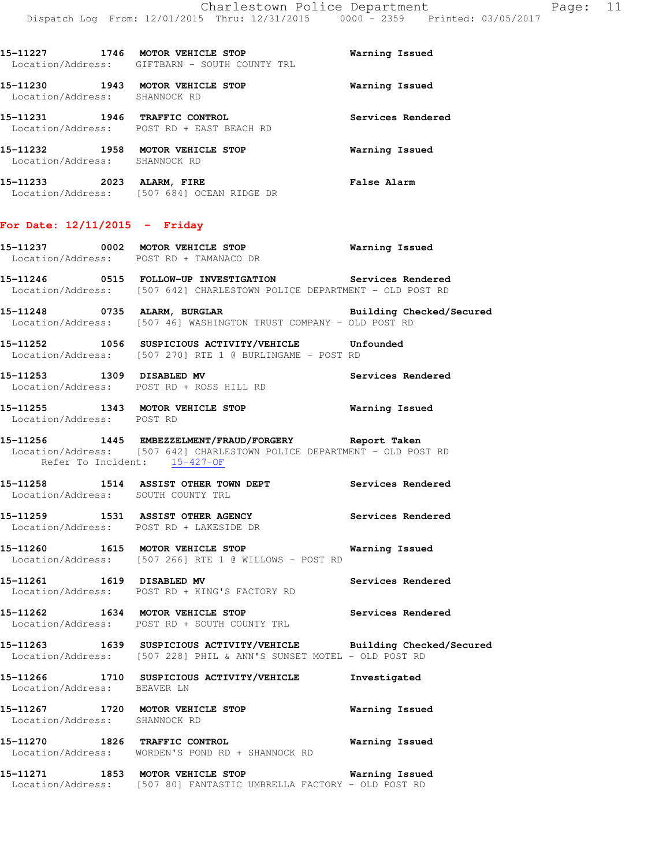| 15-11227<br>1746  | MOTOR VEHICLE STOP          | Warning Issued |
|-------------------|-----------------------------|----------------|
| Location/Address: | GIFTBARN - SOUTH COUNTY TRL |                |

**15-11230 1943 MOTOR VEHICLE STOP Warning Issued**  Location/Address: SHANNOCK RD

**15-11231 1946 TRAFFIC CONTROL Services Rendered**  Location/Address: POST RD + EAST BEACH RD

Location/Address: [507 684] OCEAN RIDGE DR

**15-11232 1958 MOTOR VEHICLE STOP Warning Issued**  Location/Address: SHANNOCK RD **15-11233 2023 ALARM, FIRE False Alarm** 

**For Date: 12/11/2015 - Friday**

# **15-11237 0002 MOTOR VEHICLE STOP Warning Issued**  Location/Address: POST RD + TAMANACO DR

**15-11246 0515 FOLLOW-UP INVESTIGATION Services Rendered**  Location/Address: [507 642] CHARLESTOWN POLICE DEPARTMENT - OLD POST RD

**15-11248 0735 ALARM, BURGLAR Building Checked/Secured**  Location/Address: [507 46] WASHINGTON TRUST COMPANY - OLD POST RD

**15-11252 1056 SUSPICIOUS ACTIVITY/VEHICLE Unfounded**  Location/Address: [507 270] RTE 1 @ BURLINGAME - POST RD

**15-11253 1309 DISABLED MV Services Rendered**  Location/Address: POST RD + ROSS HILL RD

**15-11255 1343 MOTOR VEHICLE STOP Warning Issued**  Location/Address: POST RD

**15-11256 1445 EMBEZZELMENT/FRAUD/FORGERY Report Taken**  Location/Address: [507 642] CHARLESTOWN POLICE DEPARTMENT - OLD POST RD Refer To Incident: 15-427-OF

**15-11258 1514 ASSIST OTHER TOWN DEPT Services Rendered**  Location/Address: SOUTH COUNTY TRL

**15-11259 1531 ASSIST OTHER AGENCY Services Rendered**  Location/Address: POST RD + LAKESIDE DR

**15-11260 1615 MOTOR VEHICLE STOP Warning Issued**  Location/Address: [507 266] RTE 1 @ WILLOWS - POST RD

**15-11261 1619 DISABLED MV Services Rendered**  Location/Address: POST RD + KING'S FACTORY RD

15-11262 1634 MOTOR VEHICLE STOP **Services Rendered** Location/Address: POST RD + SOUTH COUNTY TRL

**15-11263 1639 SUSPICIOUS ACTIVITY/VEHICLE Building Checked/Secured**  Location/Address: [507 228] PHIL & ANN'S SUNSET MOTEL - OLD POST RD

**15-11266 1710 SUSPICIOUS ACTIVITY/VEHICLE Investigated**  Location/Address: BEAVER LN

**15-11267 1720 MOTOR VEHICLE STOP Warning Issued**  Location/Address: SHANNOCK RD

**15-11270 1826 TRAFFIC CONTROL Warning Issued**  Location/Address: WORDEN'S POND RD + SHANNOCK RD

**15-11271 1853 MOTOR VEHICLE STOP Warning Issued**  Location/Address: [507 80] FANTASTIC UMBRELLA FACTORY - OLD POST RD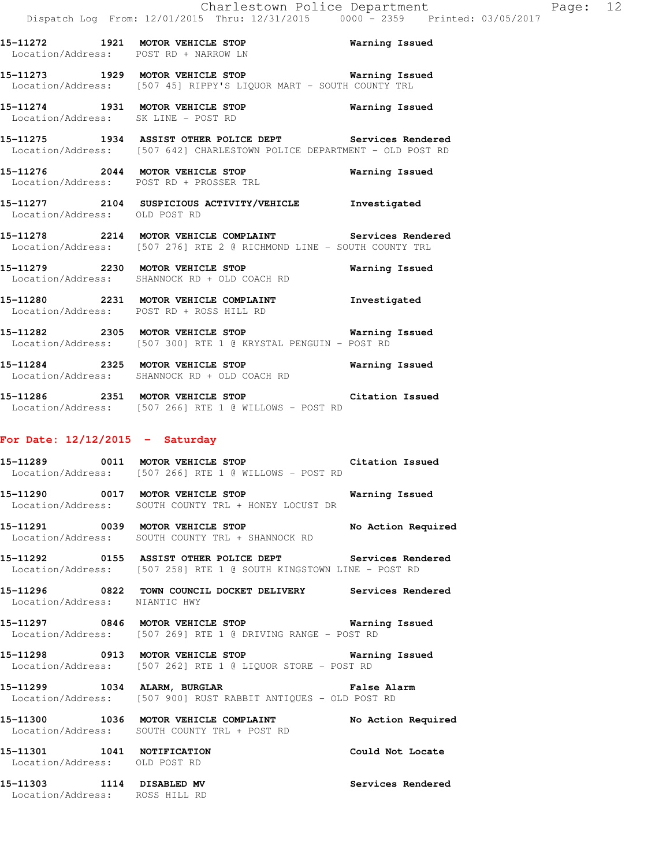**15-11272 1921 MOTOR VEHICLE STOP Warning Issued**  Location/Address: POST RD + NARROW LN **15-11273 1929 MOTOR VEHICLE STOP Warning Issued** 

Location/Address: [507 45] RIPPY'S LIQUOR MART - SOUTH COUNTY TRL **15-11274 1931 MOTOR VEHICLE STOP Warning Issued** 

**15-11275 1934 ASSIST OTHER POLICE DEPT Services Rendered**  Location/Address: [507 642] CHARLESTOWN POLICE DEPARTMENT - OLD POST RD

**15-11276 2044 MOTOR VEHICLE STOP Warning Issued**  Location/Address: POST RD + PROSSER TRL

**15-11277 2104 SUSPICIOUS ACTIVITY/VEHICLE Investigated**  Location/Address: OLD POST RD

**15-11278 2214 MOTOR VEHICLE COMPLAINT Services Rendered**  Location/Address: [507 276] RTE 2 @ RICHMOND LINE - SOUTH COUNTY TRL

**15-11279 2230 MOTOR VEHICLE STOP Warning Issued**  Location/Address: SHANNOCK RD + OLD COACH RD

**15-11280 2231 MOTOR VEHICLE COMPLAINT Investigated**  Location/Address: POST RD + ROSS HILL RD

**15-11282 2305 MOTOR VEHICLE STOP Warning Issued**  Location/Address: [507 300] RTE 1 @ KRYSTAL PENGUIN - POST RD

**15-11284 2325 MOTOR VEHICLE STOP Warning Issued**  Location/Address: SHANNOCK RD + OLD COACH RD

**15-11286 2351 MOTOR VEHICLE STOP Citation Issued**  Location/Address: [507 266] RTE 1 @ WILLOWS - POST RD

#### **For Date: 12/12/2015 - Saturday**

Location/Address: SK LINE - POST RD

**15-11289 0011 MOTOR VEHICLE STOP Citation Issued**  Location/Address: [507 266] RTE 1 @ WILLOWS - POST RD

**15-11290 0017 MOTOR VEHICLE STOP Warning Issued**  Location/Address: SOUTH COUNTY TRL + HONEY LOCUST DR

**15-11291 0039 MOTOR VEHICLE STOP No Action Required**  Location/Address: SOUTH COUNTY TRL + SHANNOCK RD

**15-11292 0155 ASSIST OTHER POLICE DEPT Services Rendered**  Location/Address: [507 258] RTE 1 @ SOUTH KINGSTOWN LINE - POST RD

**15-11296 0822 TOWN COUNCIL DOCKET DELIVERY Services Rendered**  Location/Address: NIANTIC HWY

**15-11297 0846 MOTOR VEHICLE STOP Warning Issued**  Location/Address: [507 269] RTE 1 @ DRIVING RANGE - POST RD

**15-11298 0913 MOTOR VEHICLE STOP Warning Issued**  Location/Address: [507 262] RTE 1 @ LIQUOR STORE - POST RD

**15-11299 1034 ALARM, BURGLAR False Alarm**  Location/Address: [507 900] RUST RABBIT ANTIQUES - OLD POST RD

**15-11300 1036 MOTOR VEHICLE COMPLAINT No Action Required**  Location/Address: SOUTH COUNTY TRL + POST RD

**15-11301 1041 NOTIFICATION Could Not Locate**  Location/Address: OLD POST RD

**15-11303 1114 DISABLED MV Services Rendered**  Location/Address: ROSS HILL RD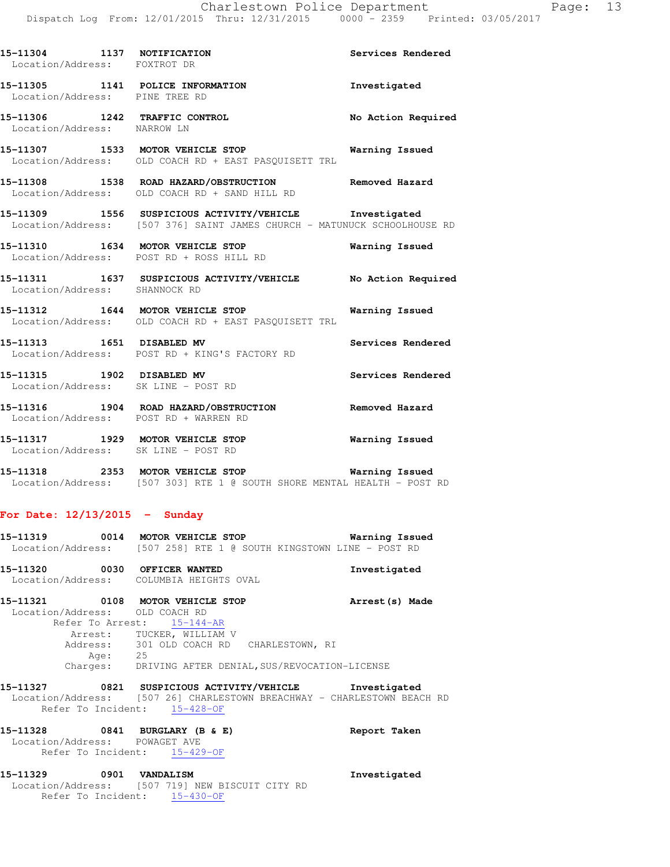| 15-11304 1137 NOTIFICATION<br>Location/Address: FOXTROT DR              |                                                                                                                                    | Services Rendered  |
|-------------------------------------------------------------------------|------------------------------------------------------------------------------------------------------------------------------------|--------------------|
| Location/Address: PINE TREE RD                                          | 15-11305 1141 POLICE INFORMATION                                                                                                   | Investigated       |
| Location/Address: NARROW LN                                             | 15-11306 1242 TRAFFIC CONTROL                                                                                                      | No Action Required |
|                                                                         | 15-11307 1533 MOTOR VEHICLE STOP 6 Warning Issued<br>Location/Address: OLD COACH RD + EAST PASQUISETT TRL                          |                    |
|                                                                         | 15-11308 1538 ROAD HAZARD/OBSTRUCTION Removed Hazard<br>Location/Address: OLD COACH RD + SAND HILL RD                              |                    |
|                                                                         | 15-11309 1556 SUSPICIOUS ACTIVITY/VEHICLE 1nvestigated<br>Location/Address: [507 376] SAINT JAMES CHURCH - MATUNUCK SCHOOLHOUSE RD |                    |
|                                                                         | 15-11310 1634 MOTOR VEHICLE STOP <b>Warning Issued</b><br>Location/Address: POST RD + ROSS HILL RD                                 |                    |
| Location/Address: SHANNOCK RD                                           | 15-11311 1637 SUSPICIOUS ACTIVITY/VEHICLE No Action Required                                                                       |                    |
|                                                                         | 15-11312 1644 MOTOR VEHICLE STOP <b>Warning Issued</b><br>Location/Address: OLD COACH RD + EAST PASQUISETT TRL                     |                    |
|                                                                         | 15-11313 1651 DISABLED MV 3ervices Rendered<br>Location/Address: POST RD + KING'S FACTORY RD                                       |                    |
|                                                                         | 15-11315 1902 DISABLED MV<br>Location/Address: SK LINE - POST RD                                                                   | Services Rendered  |
| Location/Address: POST RD + WARREN RD                                   | 15-11316 1904 ROAD HAZARD/OBSTRUCTION Removed Hazard                                                                               |                    |
| 15-11317 1929 MOTOR VEHICLE STOP<br>Location/Address: SK LINE - POST RD |                                                                                                                                    | Warning Issued     |

**15-11318 2353 MOTOR VEHICLE STOP Warning Issued**  Location/Address: [507 303] RTE 1 @ SOUTH SHORE MENTAL HEALTH - POST RD

#### **For Date: 12/13/2015 - Sunday**

| 15–11319<br>0014  |  | MOTOR VEHICLE STOP                               | Warning Issued |
|-------------------|--|--------------------------------------------------|----------------|
| Location/Address: |  | [507 258] RTE 1 @ SOUTH KINGSTOWN LINE - POST RD |                |
| 15–11320          |  | 0030 OFFICER WANTED                              | Investigated   |
| Location/Address: |  | COLUMBIA HEIGHTS OVAL                            |                |

**15-11321 0108 MOTOR VEHICLE STOP Arrest(s) Made**  Location/Address: OLD COACH RD Refer To Arrest: 15-144-AR Arrest: TUCKER, WILLIAM V Address: 301 OLD COACH RD CHARLESTOWN, RI Age: 25 Charges: DRIVING AFTER DENIAL,SUS/REVOCATION-LICENSE

**15-11327 0821 SUSPICIOUS ACTIVITY/VEHICLE Investigated**  Location/Address: [507 26] CHARLESTOWN BREACHWAY - CHARLESTOWN BEACH RD Refer To Incident: 15-428-OF

| 15-11328          |                    | 0841 BURGLARY (B & E) | Report Taken |
|-------------------|--------------------|-----------------------|--------------|
| Location/Address: |                    | POWAGET AVE           |              |
|                   | Refer To Incident: | 15-429-OF             |              |

**15-11329 0901 VANDALISM Investigated**  Location/Address: [507 719] NEW BISCUIT CITY RD Refer To Incident: 15-430-OF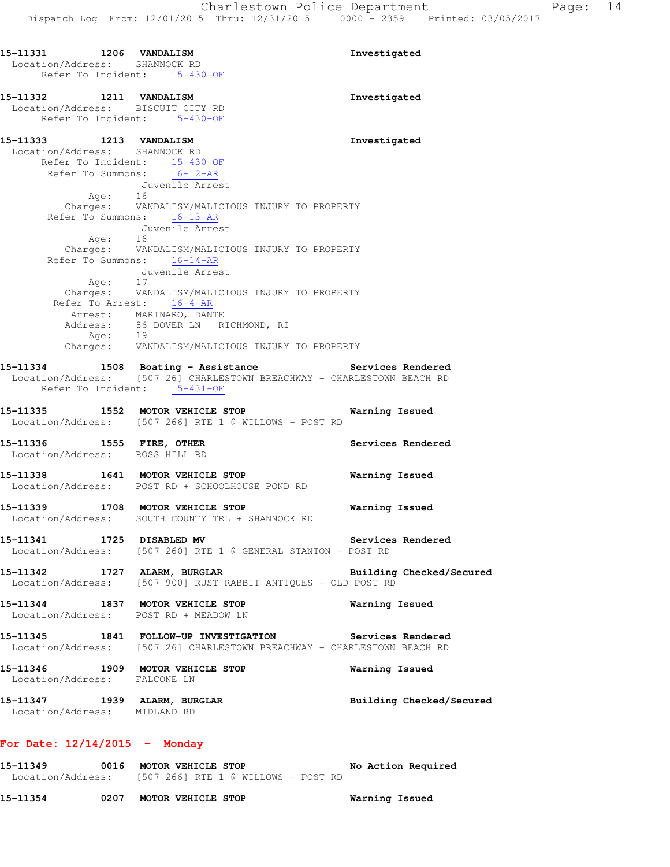**15-11331 1206 VANDALISM Investigated**  Location/Address: SHANNOCK RD Refer To Incident: 15-430-OF **15-11332 1211 VANDALISM Investigated**  Location/Address: BISCUIT CITY RD Refer To Incident: 15-430-OF **15-11333 1213 VANDALISM Investigated**  Location/Address: SHANNOCK RD Refer To Incident: 15-430-OF Refer To Summons: 16-12-AR Juvenile Arrest Age: 16 Charges: VANDALISM/MALICIOUS INJURY TO PROPERTY Refer To Summons: 16-13-AR Juvenile Arrest Age: 16 Charges: VANDALISM/MALICIOUS INJURY TO PROPERTY Refer To Summons: 16-14-AR Juvenile Arrest Age: Charges: VANDALISM/MALICIOUS INJURY TO PROPERTY Refer To Arrest: 16-4-AR Arrest: MARINARO, DANTE Address: 86 DOVER LN RICHMOND, RI Age: 19 Charges: VANDALISM/MALICIOUS INJURY TO PROPERTY 15-11334 1508 Boating - Assistance **1508 Services Rendered** Location/Address: [507 26] CHARLESTOWN BREACHWAY - CHARLESTOWN BEACH RD Refer To Incident: 15-431-OF **15-11335 1552 MOTOR VEHICLE STOP Warning Issued**  Location/Address: [507 266] RTE 1 @ WILLOWS - POST RD 15-11336 **1555 FIRE, OTHER 15-11336 1555 FIRE, OTHER**  Location/Address: ROSS HILL RD **15-11338 1641 MOTOR VEHICLE STOP Warning Issued**  Location/Address: POST RD + SCHOOLHOUSE POND RD **15-11339 1708 MOTOR VEHICLE STOP Warning Issued**  Location/Address: SOUTH COUNTY TRL + SHANNOCK RD **15-11341 1725 DISABLED MV Services Rendered**  Location/Address: [507 260] RTE 1 @ GENERAL STANTON - POST RD **15-11342 1727 ALARM, BURGLAR Building Checked/Secured**  Location/Address: [507 900] RUST RABBIT ANTIQUES - OLD POST RD **15-11344 1837 MOTOR VEHICLE STOP Warning Issued**  Location/Address: POST RD + MEADOW LN **15-11345 1841 FOLLOW-UP INVESTIGATION Services Rendered**  Location/Address: [507 26] CHARLESTOWN BREACHWAY - CHARLESTOWN BEACH RD **15-11346 1909 MOTOR VEHICLE STOP Warning Issued**  Location/Address: FALCONE LN **15-11347 1939 ALARM, BURGLAR Building Checked/Secured**  Location/Address: MIDLAND RD **For Date: 12/14/2015 - Monday**

**15-11349 0016 MOTOR VEHICLE STOP No Action Required**  Location/Address: [507 266] RTE 1 @ WILLOWS - POST RD

**15-11354 0207 MOTOR VEHICLE STOP Warning Issued**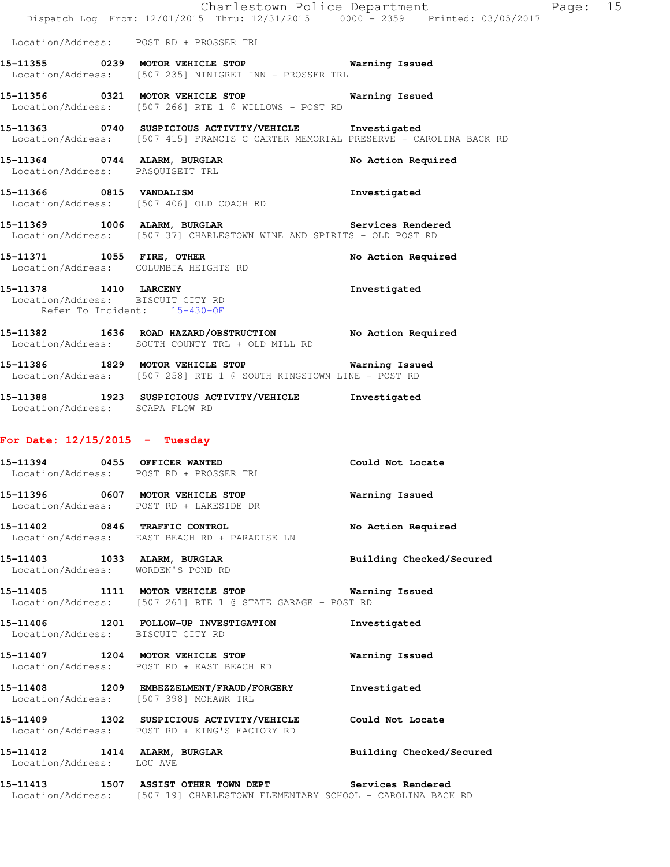|                                                           | Dispatch Log From: 12/01/2015 Thru: 12/31/2015 0000 - 2359 Printed: 03/05/2017                                                              | Charlestown Police Department<br>Page: 15 |  |
|-----------------------------------------------------------|---------------------------------------------------------------------------------------------------------------------------------------------|-------------------------------------------|--|
|                                                           | Location/Address: POST RD + PROSSER TRL                                                                                                     |                                           |  |
|                                                           | 15-11355 0239 MOTOR VEHICLE STOP Warning Issued<br>Location/Address: [507 235] NINIGRET INN - PROSSER TRL                                   |                                           |  |
|                                                           | 15-11356 0321 MOTOR VEHICLE STOP 6 Warning Issued<br>Location/Address: [507 266] RTE 1 @ WILLOWS - POST RD                                  |                                           |  |
|                                                           | 15-11363 0740 SUSPICIOUS ACTIVITY/VEHICLE Investigated<br>Location/Address: [507 415] FRANCIS C CARTER MEMORIAL PRESERVE - CAROLINA BACK RD |                                           |  |
| Location/Address: PASQUISETT TRL                          | 15-11364 0744 ALARM, BURGLAR                                                                                                                | No Action Required                        |  |
|                                                           | 15-11366 0815 VANDALISM<br>Location/Address: [507 406] OLD COACH RD                                                                         | Investigated                              |  |
|                                                           | 15-11369 1006 ALARM, BURGLAR Services Rendered<br>Location/Address: [507 37] CHARLESTOWN WINE AND SPIRITS - OLD POST RD                     |                                           |  |
|                                                           | 15-11371 1055 FIRE, OTHER<br>Location/Address: COLUMBIA HEIGHTS RD                                                                          | No Action Required                        |  |
|                                                           | 15-11378 1410 LARCENY<br>Location/Address: BISCUIT CITY RD<br>Refer To Incident: 15-430-OF                                                  | Investigated                              |  |
|                                                           | 15-11382 1636 ROAD HAZARD/OBSTRUCTION No Action Required<br>Location/Address: SOUTH COUNTY TRL + OLD MILL RD                                |                                           |  |
|                                                           | 15-11386 1829 MOTOR VEHICLE STOP 6 Warning Issued<br>Location/Address: [507 258] RTE 1 @ SOUTH KINGSTOWN LINE - POST RD                     |                                           |  |
| Location/Address: SCAPA FLOW RD                           | 15-11388 1923 SUSPICIOUS ACTIVITY/VEHICLE Investigated                                                                                      |                                           |  |
| For Date: $12/15/2015$ - Tuesday                          |                                                                                                                                             |                                           |  |
|                                                           | 15-11394 0455 OFFICER WANTED<br>Location/Address: POST RD + PROSSER TRL                                                                     | Could Not Locate                          |  |
|                                                           | 15-11396 0607 MOTOR VEHICLE STOP<br>Location/Address: POST RD + LAKESIDE DR                                                                 | Warning Issued                            |  |
|                                                           | 15-11402 0846 TRAFFIC CONTROL<br>Location/Address: EAST BEACH RD + PARADISE LN                                                              | No Action Required                        |  |
|                                                           | 15-11403 1033 ALARM, BURGLAR<br>Location/Address: WORDEN'S POND RD                                                                          | Building Checked/Secured                  |  |
|                                                           | 15-11405 1111 MOTOR VEHICLE STOP<br>Location/Address: [507 261] RTE 1 @ STATE GARAGE - POST RD                                              | Warning Issued                            |  |
| Location/Address: BISCUIT CITY RD                         | 15-11406 1201 FOLLOW-UP INVESTIGATION                                                                                                       | Investigated                              |  |
|                                                           | 15-11407 1204 MOTOR VEHICLE STOP<br>Location/Address: POST RD + EAST BEACH RD                                                               | Warning Issued                            |  |
|                                                           | 15-11408 1209 EMBEZZELMENT/FRAUD/FORGERY<br>Location/Address: [507 398] MOHAWK TRL                                                          | Investigated                              |  |
|                                                           | 15-11409 1302 SUSPICIOUS ACTIVITY/VEHICLE<br>Location/Address: POST RD + KING'S FACTORY RD                                                  | Could Not Locate                          |  |
| 15-11412 1414 ALARM, BURGLAR<br>Location/Address: LOU AVE |                                                                                                                                             | Building Checked/Secured                  |  |
|                                                           | 15-11413 1507 ASSIST OTHER TOWN DEPT Services Rendered<br>Location/Address: [507 19] CHARLESTOWN ELEMENTARY SCHOOL - CAROLINA BACK RD       |                                           |  |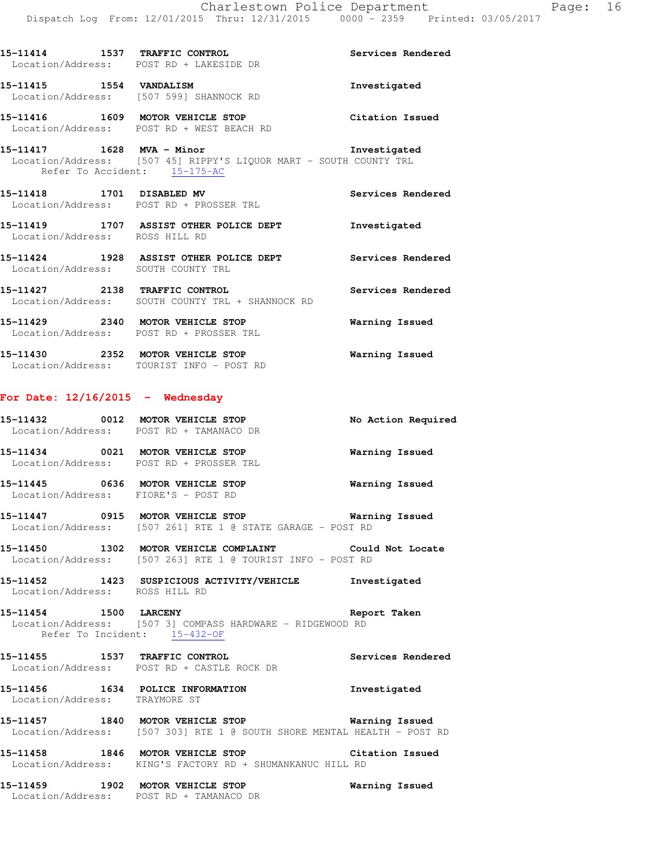|                                    | $15-11414$ 1537 TRAFFIC CONTROL<br>-- ALLEND DR<br>Location/Address: POST RD + LAKESIDE DR                                         | Services Rendered     |
|------------------------------------|------------------------------------------------------------------------------------------------------------------------------------|-----------------------|
| 15-11415   1554   VANDALISM        | Location/Address: [507 599] SHANNOCK RD                                                                                            | Investigated          |
|                                    | 15-11416 1609 MOTOR VEHICLE STOP Citation Issued<br>Location/Address: POST RD + WEST BEACH RD                                      |                       |
|                                    | 15-11417   1628   MVA - Minor<br>Location/Address: [507 45] RIPPY'S LIQUOR MART - SOUTH COUNTY TRL<br>Refer To Accident: 15-175-AC | Investigated          |
|                                    | 15-11418    1701    DISABLED MV<br>Location/Address: POST RD + PROSSER TRL                                                         | Services Rendered     |
| Location/Address: ROSS HILL RD     | 15-11419 1707 ASSIST OTHER POLICE DEPT 1nvestigated                                                                                |                       |
|                                    | 15-11424 1928 ASSIST OTHER POLICE DEPT Services Rendered<br>Location/Address: SOUTH COUNTY TRL                                     |                       |
|                                    | 15-11427 2138 TRAFFIC CONTROL<br>Location/Address: SOUTH COUNTY TRL + SHANNOCK RD                                                  | Services Rendered     |
|                                    | 15-11429 2340 MOTOR VEHICLE STOP<br>Location/Address: POST RD + PROSSER TRL                                                        | Warning Issued        |
|                                    | 15-11430 2352 MOTOR VEHICLE STOP<br>Location/Address: TOURIST INFO - POST RD                                                       | Warning Issued        |
| For Date: $12/16/2015$ - Wednesday |                                                                                                                                    |                       |
|                                    | 15-11432 0012 MOTOR VEHICLE STOP<br>Location/Address: POST RD + TAMANACO DR                                                        | No Action Required    |
|                                    | 15-11434 0021 MOTOR VEHICLE STOP<br>Location/Address: POST RD + PROSSER TRL                                                        | Warning Issued        |
|                                    | 15-11445 0636 MOTOR VEHICLE STOP<br>Location/Address: FIORE'S - POST RD                                                            | <b>Warning Issued</b> |
|                                    | 15-11447 0915 MOTOR VEHICLE STOP 60 Warning Issued<br>Location/Address: [507 261] RTE 1 @ STATE GARAGE - POST RD                   |                       |

**15-11450 1302 MOTOR VEHICLE COMPLAINT Could Not Locate**  Location/Address: [507 263] RTE 1 @ TOURIST INFO - POST RD

**15-11452 1423 SUSPICIOUS ACTIVITY/VEHICLE Investigated**  Location/Address: ROSS HILL RD

**15-11454 1500 LARCENY Report Taken**  Location/Address: [507 3] COMPASS HARDWARE - RIDGEWOOD RD Refer To Incident: 15-432-OF

**15-11455 1537 TRAFFIC CONTROL Services Rendered**  Location/Address: POST RD + CASTLE ROCK DR

**15-11456 1634 POLICE INFORMATION Investigated**  Location/Address: TRAYMORE ST

**15-11457 1840 MOTOR VEHICLE STOP Warning Issued**  Location/Address: [507 303] RTE 1 @ SOUTH SHORE MENTAL HEALTH - POST RD

**15-11458 1846 MOTOR VEHICLE STOP Citation Issued**  Location/Address: KING'S FACTORY RD + SHUMANKANUC HILL RD

**15-11459 1902 MOTOR VEHICLE STOP Warning Issued**  Location/Address: POST RD + TAMANACO DR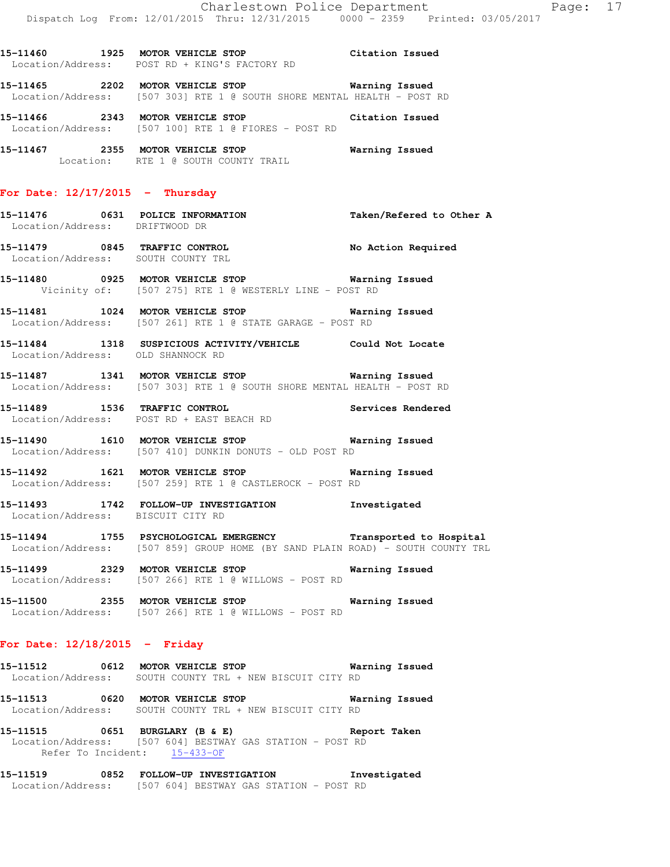Location: RTE 1 @ SOUTH COUNTY TRAIL **For Date: 12/17/2015 - Thursday 15-11476 0631 POLICE INFORMATION Taken/Refered to Other A**  Location/Address: DRIFTWOOD DR **15-11479 0845 TRAFFIC CONTROL No Action Required**  Location/Address: SOUTH COUNTY TRL **15-11480 0925 MOTOR VEHICLE STOP Warning Issued**  Vicinity of: [507 275] RTE 1 @ WESTERLY LINE - POST RD

**15-11460 1925 MOTOR VEHICLE STOP Citation Issued** 

**15-11465 2202 MOTOR VEHICLE STOP Warning Issued**  Location/Address: [507 303] RTE 1 @ SOUTH SHORE MENTAL HEALTH - POST RD

**15-11466 2343 MOTOR VEHICLE STOP Citation Issued** 

**15-11467 2355 MOTOR VEHICLE STOP Warning Issued** 

Location/Address: POST RD + KING'S FACTORY RD

Location/Address: [507 100] RTE 1 @ FIORES - POST RD

**15-11481 1024 MOTOR VEHICLE STOP Warning Issued**  Location/Address: [507 261] RTE 1 @ STATE GARAGE - POST RD

**15-11484 1318 SUSPICIOUS ACTIVITY/VEHICLE Could Not Locate**  Location/Address: OLD SHANNOCK RD

**15-11487 1341 MOTOR VEHICLE STOP Warning Issued**  Location/Address: [507 303] RTE 1 @ SOUTH SHORE MENTAL HEALTH - POST RD

**15-11489 1536 TRAFFIC CONTROL Services Rendered**  Location/Address: POST RD + EAST BEACH RD

**15-11490 1610 MOTOR VEHICLE STOP Warning Issued**  Location/Address: [507 410] DUNKIN DONUTS - OLD POST RD

**15-11492 1621 MOTOR VEHICLE STOP Warning Issued**  Location/Address: [507 259] RTE 1 @ CASTLEROCK - POST RD

**15-11493 1742 FOLLOW-UP INVESTIGATION Investigated**  Location/Address: BISCUIT CITY RD

**15-11494 1755 PSYCHOLOGICAL EMERGENCY Transported to Hospital**  Location/Address: [507 859] GROUP HOME (BY SAND PLAIN ROAD) - SOUTH COUNTY TRL

**15-11499 2329 MOTOR VEHICLE STOP Warning Issued**  Location/Address: [507 266] RTE 1 @ WILLOWS - POST RD

**15-11500 2355 MOTOR VEHICLE STOP Warning Issued**  Location/Address: [507 266] RTE 1 @ WILLOWS - POST RD

#### **For Date: 12/18/2015 - Friday**

**15-11512 0612 MOTOR VEHICLE STOP Warning Issued**  Location/Address: SOUTH COUNTY TRL + NEW BISCUIT CITY RD

**15-11513 0620 MOTOR VEHICLE STOP Warning Issued**  Location/Address: SOUTH COUNTY TRL + NEW BISCUIT CITY RD

**15-11515 0651 BURGLARY (B & E) Report Taken**  Location/Address: [507 604] BESTWAY GAS STATION - POST RD Refer To Incident: 15-433-OF

**15-11519 0852 FOLLOW-UP INVESTIGATION Investigated**  Location/Address: [507 604] BESTWAY GAS STATION - POST RD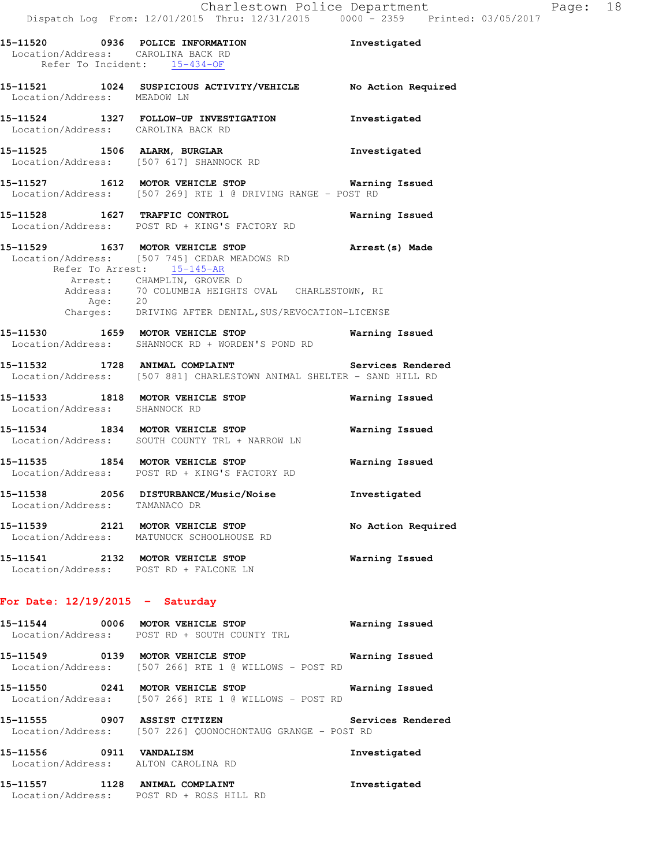|                               | 15-11520 0936 POLICE INFORMATION<br>Location/Address: CAROLINA BACK RD<br>Refer To Incident: 15-434-OF                                                                                                                                                                | Investigated       |
|-------------------------------|-----------------------------------------------------------------------------------------------------------------------------------------------------------------------------------------------------------------------------------------------------------------------|--------------------|
| Location/Address: MEADOW LN   | 15-11521 1024 SUSPICIOUS ACTIVITY/VEHICLE No Action Required                                                                                                                                                                                                          |                    |
|                               | 15-11524 1327 FOLLOW-UP INVESTIGATION<br>Location/Address: CAROLINA BACK RD                                                                                                                                                                                           | Investigated       |
|                               | 15-11525 1506 ALARM, BURGLAR<br>Location/Address: [507 617] SHANNOCK RD                                                                                                                                                                                               | Investigated       |
|                               | 15-11527 1612 MOTOR VEHICLE STOP 15 Warning Issued<br>Location/Address: [507 269] RTE 1 @ DRIVING RANGE - POST RD                                                                                                                                                     |                    |
|                               | 15-11528 1627 TRAFFIC CONTROL<br>Location/Address: POST RD + KING'S FACTORY RD                                                                                                                                                                                        | Warning Issued     |
|                               | 15-11529 1637 MOTOR VEHICLE STOP<br>Location/Address: [507 745] CEDAR MEADOWS RD<br>Refer To Arrest: 15-145-AR<br>Arrest: CHAMPLIN, GROVER D<br>Address: 70 COLUMBIA HEIGHTS OVAL CHARLESTOWN, RI<br>Age: 20<br>Charges: DRIVING AFTER DENIAL, SUS/REVOCATION-LICENSE | Arrest(s) Made     |
|                               |                                                                                                                                                                                                                                                                       |                    |
|                               | 15-11530 1659 MOTOR VEHICLE STOP 15 Warning Issued<br>Location/Address: SHANNOCK RD + WORDEN'S POND RD                                                                                                                                                                |                    |
|                               | 15-11532 1728 ANIMAL COMPLAINT Services Rendered<br>Location/Address: [507 881] CHARLESTOWN ANIMAL SHELTER - SAND HILL RD                                                                                                                                             |                    |
| Location/Address: SHANNOCK RD | 15-11533 1818 MOTOR VEHICLE STOP                                                                                                                                                                                                                                      | Warning Issued     |
|                               | 15-11534 1834 MOTOR VEHICLE STOP<br>Location/Address: SOUTH COUNTY TRL + NARROW LN                                                                                                                                                                                    | Warning Issued     |
|                               | 15-11535 1854 MOTOR VEHICLE STOP<br>Location/Address: POST RD + KING'S FACTORY RD                                                                                                                                                                                     | Warning Issued     |
| Location/Address: TAMANACO DR | 15-11538 2056 DISTURBANCE/Music/Noise                                                                                                                                                                                                                                 | Investigated       |
|                               | 15-11539 2121 MOTOR VEHICLE STOP<br>Location/Address: MATUNUCK SCHOOLHOUSE RD                                                                                                                                                                                         | No Action Required |
|                               | 15-11541 2132 MOTOR VEHICLE STOP<br>Location/Address: POST RD + FALCONE LN                                                                                                                                                                                            | Warning Issued     |

# **For Date: 12/19/2015 - Saturday**

| 15-11544 | 0006 | <b>MOTOR VEHICLE STOP</b><br>Location/Address: POST RD + SOUTH COUNTY TRL   | Warning Issued |  |
|----------|------|-----------------------------------------------------------------------------|----------------|--|
| 15-11549 | 0139 | MOTOR VEHICLE STOP<br>Location/Address: [507 266] RTE 1 @ WILLOWS - POST RD | Warning Issued |  |
| 15-11550 | 0241 | MOTOR VEHICLE STOP<br>Location/Address: [507 266] RTE 1 @ WILLOWS - POST RD | Warning Issued |  |

**15-11555 0907 ASSIST CITIZEN Services Rendered**  Location/Address: [507 226] QUONOCHONTAUG GRANGE - POST RD

**15-11556 0911 VANDALISM Investigated**  Location/Address: ALTON CAROLINA RD

**15-11557 1128 ANIMAL COMPLAINT Investigated**  Location/Address: POST RD + ROSS HILL RD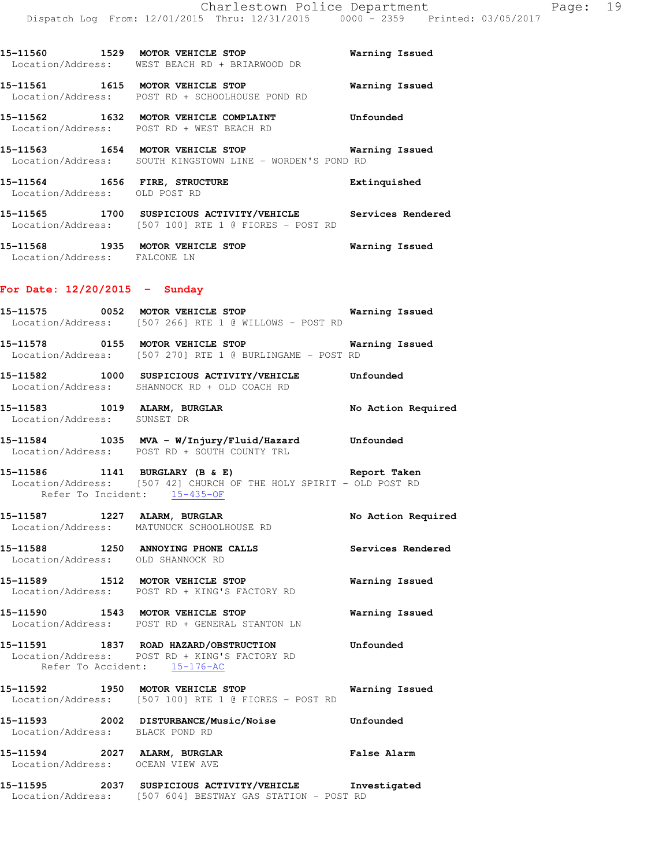| 15-11560<br>Location/Address: | 1529 | MOTOR VEHICLE STOP<br>WEST BEACH RD + BRIARWOOD DR                    | Warning Issued |
|-------------------------------|------|-----------------------------------------------------------------------|----------------|
| 15–11561                      | 1615 | MOTOR VEHICLE STOP<br>Location/Address: POST RD + SCHOOLHOUSE POND RD | Warning Issued |
| 15–11562                      | 1632 | MOTOR VEHICLE COMPLAINT<br>Location/Address: POST RD + WEST BEACH RD  | Unfounded      |
| 15–11563<br>Location/Address: | 1654 | MOTOR VEHICLE STOP<br>SOUTH KINGSTOWN LINE - WORDEN'S POND RD         | Warning Issued |
| 15–11564                      | 1656 | FIRE, STRUCTURE                                                       | Extinguished   |

 Location/Address: OLD POST RD **15-11565 1700 SUSPICIOUS ACTIVITY/VEHICLE Services Rendered**  Location/Address: [507 100] RTE 1 @ FIORES - POST RD

**15-11568 1935 MOTOR VEHICLE STOP Warning Issued**  Location/Address: FALCONE LN

#### **For Date: 12/20/2015 - Sunday**

- **15-11575 0052 MOTOR VEHICLE STOP Warning Issued**  Location/Address: [507 266] RTE 1 @ WILLOWS - POST RD **15-11578 0155 MOTOR VEHICLE STOP Warning Issued**  Location/Address: [507 270] RTE 1 @ BURLINGAME - POST RD
- **15-11582 1000 SUSPICIOUS ACTIVITY/VEHICLE Unfounded**  Location/Address: SHANNOCK RD + OLD COACH RD
- **15-11583 1019 ALARM, BURGLAR No Action Required**  Location/Address: SUNSET DR
- **15-11584 1035 MVA W/Injury/Fluid/Hazard Unfounded**  Location/Address: POST RD + SOUTH COUNTY TRL
- **15-11586 1141 BURGLARY (B & E) Report Taken**  Location/Address: [507 42] CHURCH OF THE HOLY SPIRIT - OLD POST RD Refer To Incident: 15-435-OF
- 15-11587 1227 ALARM, BURGLAR **No Action Required** Location/Address: MATUNUCK SCHOOLHOUSE RD
- **15-11588 1250 ANNOYING PHONE CALLS Services Rendered**  Location/Address: OLD SHANNOCK RD
- **15-11589 1512 MOTOR VEHICLE STOP Warning Issued**  Location/Address: POST RD + KING'S FACTORY RD
- **15-11590 1543 MOTOR VEHICLE STOP Warning Issued**  Location/Address: POST RD + GENERAL STANTON LN
- **15-11591 1837 ROAD HAZARD/OBSTRUCTION Unfounded**  Location/Address: POST RD + KING'S FACTORY RD Refer To Accident: 15-176-AC
- **15-11592 1950 MOTOR VEHICLE STOP Warning Issued**  Location/Address: [507 100] RTE 1 @ FIORES - POST RD
- **15-11593 2002 DISTURBANCE/Music/Noise Unfounded**  Location/Address: BLACK POND RD
- **15-11594 2027 ALARM, BURGLAR False Alarm**  Location/Address: OCEAN VIEW AVE

# **15-11595 2037 SUSPICIOUS ACTIVITY/VEHICLE Investigated**  Location/Address: [507 604] BESTWAY GAS STATION - POST RD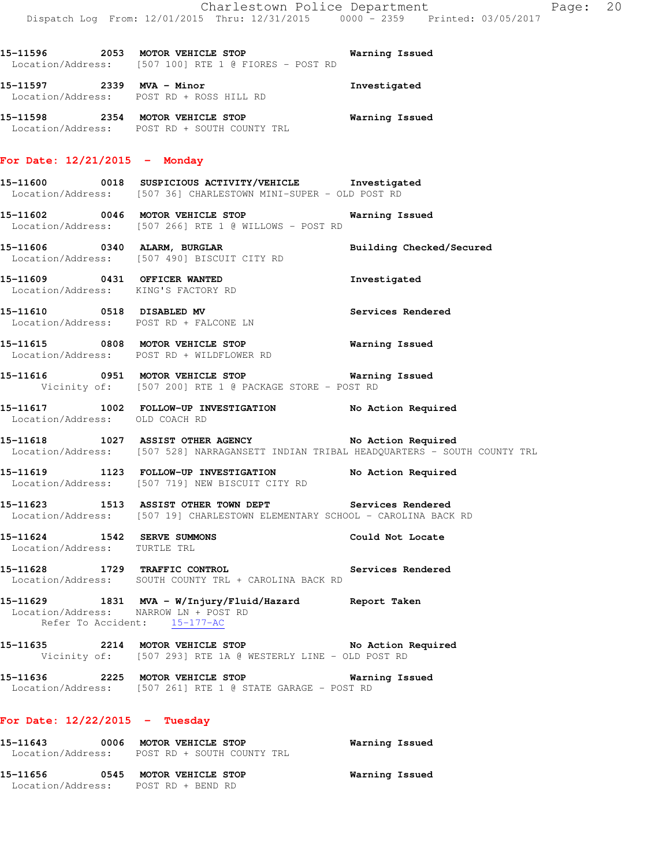**15-11596 2053 MOTOR VEHICLE STOP Warning Issued**  Location/Address: [507 100] RTE 1 @ FIORES - POST RD

**15-11597 2339 MVA - Minor Investigated**  Location/Address: POST RD + ROSS HILL RD

**15-11598 2354 MOTOR VEHICLE STOP Warning Issued**  Location/Address: POST RD + SOUTH COUNTY TRL

#### **For Date: 12/21/2015 - Monday**

- **15-11600 0018 SUSPICIOUS ACTIVITY/VEHICLE Investigated**  Location/Address: [507 36] CHARLESTOWN MINI-SUPER - OLD POST RD
- **15-11602 0046 MOTOR VEHICLE STOP Warning Issued**  Location/Address: [507 266] RTE 1 @ WILLOWS - POST RD
- **15-11606 0340 ALARM, BURGLAR Building Checked/Secured**  Location/Address: [507 490] BISCUIT CITY RD
- **15-11609 0431 OFFICER WANTED Investigated**  Location/Address: KING'S FACTORY RD
- **15-11610 0518 DISABLED MV Services Rendered**  Location/Address: POST RD + FALCONE LN
- **15-11615 0808 MOTOR VEHICLE STOP Warning Issued**  Location/Address: POST RD + WILDFLOWER RD
- **15-11616 0951 MOTOR VEHICLE STOP Warning Issued**  Vicinity of: [507 200] RTE 1 @ PACKAGE STORE - POST RD
- **15-11617 1002 FOLLOW-UP INVESTIGATION No Action Required**  Location/Address: OLD COACH RD
- **15-11618 1027 ASSIST OTHER AGENCY No Action Required**  Location/Address: [507 528] NARRAGANSETT INDIAN TRIBAL HEADQUARTERS - SOUTH COUNTY TRL
- **15-11619 1123 FOLLOW-UP INVESTIGATION No Action Required**  Location/Address: [507 719] NEW BISCUIT CITY RD
- **15-11623 1513 ASSIST OTHER TOWN DEPT Services Rendered**  Location/Address: [507 19] CHARLESTOWN ELEMENTARY SCHOOL - CAROLINA BACK RD
- **15-11624 1542 SERVE SUMMONS Could Not Locate**  Location/Address: TURTLE TRL
- **15-11628 1729 TRAFFIC CONTROL Services Rendered**  Location/Address: SOUTH COUNTY TRL + CAROLINA BACK RD
- **15-11629 1831 MVA W/Injury/Fluid/Hazard Report Taken**  Location/Address: NARROW LN + POST RD Refer To Accident: 15-177-AC
- **15-11635 2214 MOTOR VEHICLE STOP No Action Required**  Vicinity of: [507 293] RTE 1A @ WESTERLY LINE - OLD POST RD
- **15-11636 2225 MOTOR VEHICLE STOP Warning Issued**  Location/Address: [507 261] RTE 1 @ STATE GARAGE - POST RD

#### **For Date: 12/22/2015 - Tuesday**

**15-11643 0006 MOTOR VEHICLE STOP Warning Issued**  Location/Address: POST RD + SOUTH COUNTY TRL **15-11656 0545 MOTOR VEHICLE STOP Warning Issued**  Location/Address: POST RD + BEND RD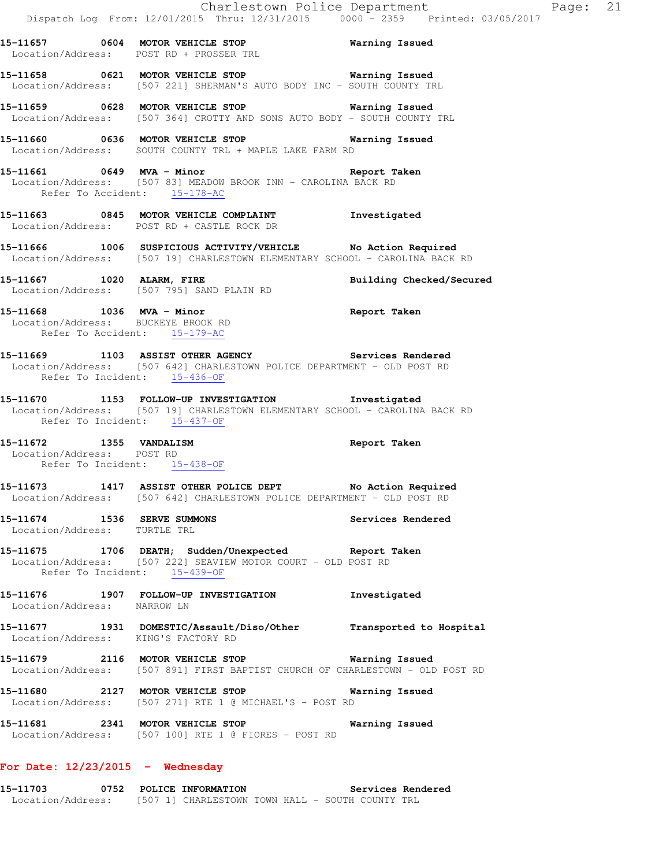- **15-11657 0604 MOTOR VEHICLE STOP Warning Issued**  Location/Address: POST RD + PROSSER TRL
- **15-11658 0621 MOTOR VEHICLE STOP Warning Issued**  Location/Address: [507 221] SHERMAN'S AUTO BODY INC - SOUTH COUNTY TRL
- **15-11659 0628 MOTOR VEHICLE STOP Warning Issued**  Location/Address: [507 364] CROTTY AND SONS AUTO BODY - SOUTH COUNTY TRL
- **15-11660 0636 MOTOR VEHICLE STOP Warning Issued**  Location/Address: SOUTH COUNTY TRL + MAPLE LAKE FARM RD
- **15-11661 0649 MVA Minor Report Taken**  Location/Address: [507 83] MEADOW BROOK INN - CAROLINA BACK RD Refer To Accident: 15-178-AC
- **15-11663 0845 MOTOR VEHICLE COMPLAINT Investigated**  Location/Address: POST RD + CASTLE ROCK DR
- **15-11666 1006 SUSPICIOUS ACTIVITY/VEHICLE No Action Required**  Location/Address: [507 19] CHARLESTOWN ELEMENTARY SCHOOL - CAROLINA BACK RD
- **15-11667 1020 ALARM, FIRE Building Checked/Secured**  Location/Address: [507 795] SAND PLAIN RD
- **15-11668 1036 MVA Minor Report Taken**  Location/Address: BUCKEYE BROOK RD Refer To Accident: 15-179-AC
- **15-11669 1103 ASSIST OTHER AGENCY Services Rendered**  Location/Address: [507 642] CHARLESTOWN POLICE DEPARTMENT - OLD POST RD Refer To Incident: 15-436-OF
- **15-11670 1153 FOLLOW-UP INVESTIGATION Investigated**  Location/Address: [507 19] CHARLESTOWN ELEMENTARY SCHOOL - CAROLINA BACK RD Refer To Incident: 15-437-OF
- **15-11672 1355 VANDALISM Report Taken**  Location/Address: POST RD Refer To Incident: 15-438-OF
- **15-11673 1417 ASSIST OTHER POLICE DEPT No Action Required**  Location/Address: [507 642] CHARLESTOWN POLICE DEPARTMENT - OLD POST RD
- **15-11674 1536 SERVE SUMMONS Services Rendered**  Location/Address: TURTLE TRL
- **15-11675 1706 DEATH; Sudden/Unexpected Report Taken**  Location/Address: [507 222] SEAVIEW MOTOR COURT - OLD POST RD Refer To Incident: 15-439-OF
- **15-11676 1907 FOLLOW-UP INVESTIGATION Investigated**  Location/Address: NARROW LN
- **15-11677 1931 DOMESTIC/Assault/Diso/Other Transported to Hospital**  Location/Address: KING'S FACTORY RD
- **15-11679 2116 MOTOR VEHICLE STOP Warning Issued**  Location/Address: [507 891] FIRST BAPTIST CHURCH OF CHARLESTOWN - OLD POST RD
- **15-11680 2127 MOTOR VEHICLE STOP Warning Issued**  Location/Address: [507 271] RTE 1 @ MICHAEL'S - POST RD
- **15-11681 2341 MOTOR VEHICLE STOP Warning Issued**  Location/Address: [507 100] RTE 1 @ FIORES - POST RD

#### **For Date: 12/23/2015 - Wednesday**

**15-11703 0752 POLICE INFORMATION Services Rendered**  Location/Address: [507 1] CHARLESTOWN TOWN HALL - SOUTH COUNTY TRL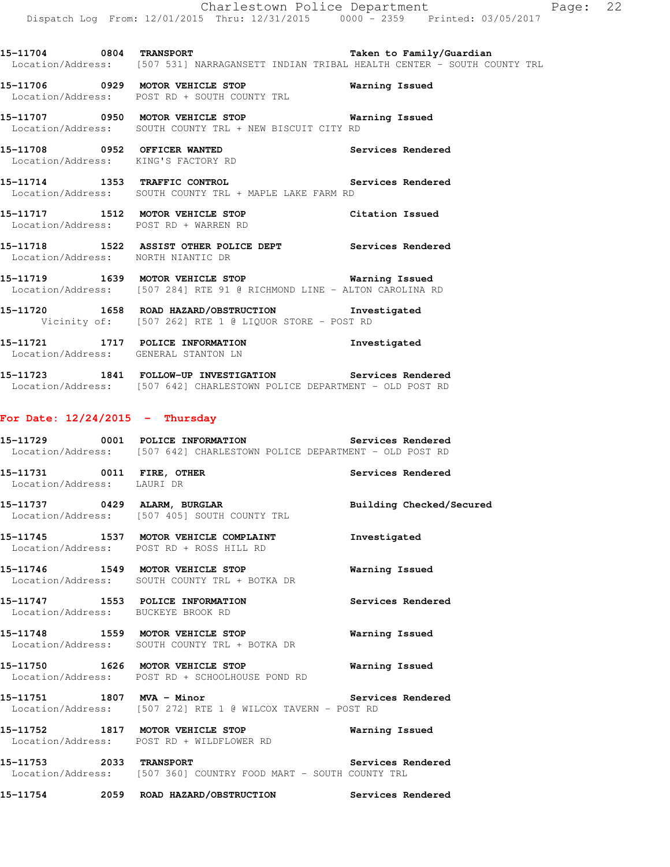**15-11706 0929 MOTOR VEHICLE STOP Warning Issued**  Location/Address: POST RD + SOUTH COUNTY TRL

**15-11707 0950 MOTOR VEHICLE STOP Warning Issued**  Location/Address: SOUTH COUNTY TRL + NEW BISCUIT CITY RD

**15-11708 0952 OFFICER WANTED Services Rendered**  Location/Address: KING'S FACTORY RD

**15-11714 1353 TRAFFIC CONTROL Services Rendered**  Location/Address: SOUTH COUNTY TRL + MAPLE LAKE FARM RD

**15-11717 1512 MOTOR VEHICLE STOP Citation Issued**  Location/Address: POST RD + WARREN RD

**15-11718 1522 ASSIST OTHER POLICE DEPT Services Rendered**  Location/Address: NORTH NIANTIC DR

**15-11719 1639 MOTOR VEHICLE STOP Warning Issued**  Location/Address: [507 284] RTE 91 @ RICHMOND LINE - ALTON CAROLINA RD

**15-11720 1658 ROAD HAZARD/OBSTRUCTION Investigated**  Vicinity of: [507 262] RTE 1 @ LIQUOR STORE - POST RD

**15-11721 1717 POLICE INFORMATION Investigated**  Location/Address: GENERAL STANTON LN

**15-11723 1841 FOLLOW-UP INVESTIGATION Services Rendered**  Location/Address: [507 642] CHARLESTOWN POLICE DEPARTMENT - OLD POST RD

## **For Date: 12/24/2015 - Thursday**

**15-11729 0001 POLICE INFORMATION Services Rendered**  Location/Address: [507 642] CHARLESTOWN POLICE DEPARTMENT - OLD POST RD

**15-11731 0011 FIRE, OTHER Services Rendered**  Location/Address: LAURI DR

**15-11737 0429 ALARM, BURGLAR Building Checked/Secured**  Location/Address: [507 405] SOUTH COUNTY TRL

**15-11745 1537 MOTOR VEHICLE COMPLAINT Investigated**  Location/Address: POST RD + ROSS HILL RD

**15-11746 1549 MOTOR VEHICLE STOP Warning Issued**  Location/Address: SOUTH COUNTY TRL + BOTKA DR

**15-11747 1553 POLICE INFORMATION Services Rendered**  Location/Address: BUCKEYE BROOK RD

**15-11748 1559 MOTOR VEHICLE STOP Warning Issued**  Location/Address: SOUTH COUNTY TRL + BOTKA DR

**15-11750 1626 MOTOR VEHICLE STOP Warning Issued**  Location/Address: POST RD + SCHOOLHOUSE POND RD

**15-11751 1807 MVA - Minor Services Rendered**  Location/Address: [507 272] RTE 1 @ WILCOX TAVERN - POST RD

**15-11752 1817 MOTOR VEHICLE STOP Warning Issued**  Location/Address: POST RD + WILDFLOWER RD

**15-11753 2033 TRANSPORT Services Rendered**  Location/Address: [507 360] COUNTRY FOOD MART - SOUTH COUNTY TRL

**15-11754 2059 ROAD HAZARD/OBSTRUCTION Services Rendered**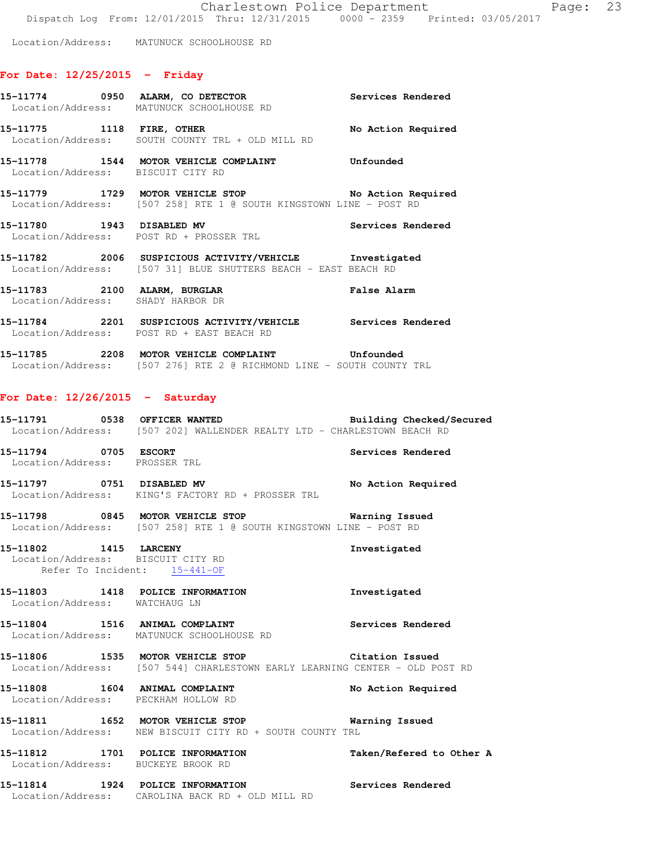Location/Address: MATUNUCK SCHOOLHOUSE RD

# **For Date: 12/25/2015 - Friday**

|                                                                 | 15-11774 0950 ALARM, CO DETECTOR CONSERVATION Services Rendered<br>Location/Address: MATUNUCK SCHOOLHOUSE RD                                                                           |                          |
|-----------------------------------------------------------------|----------------------------------------------------------------------------------------------------------------------------------------------------------------------------------------|--------------------------|
|                                                                 | 15-11775 1118 FIRE, OTHER No Action Required<br>Location/Address: SOUTH COUNTY TRL + OLD MILL RD                                                                                       |                          |
| Location/Address: BISCUIT CITY RD                               | 15-11778 1544 MOTOR VEHICLE COMPLAINT Confounded                                                                                                                                       |                          |
|                                                                 | 15-11779 1729 MOTOR VEHICLE STOP No Action Required<br>Location/Address: [507 258] RTE 1 @ SOUTH KINGSTOWN LINE - POST RD                                                              |                          |
|                                                                 | 15-11780 1943 DISABLED MV Services Rendered<br>Location/Address: POST RD + PROSSER TRL Services Rendered                                                                               |                          |
|                                                                 | 15-11782 2006 SUSPICIOUS ACTIVITY/VEHICLE Investigated<br>Location/Address: [507 31] BLUE SHUTTERS BEACH - EAST BEACH RD                                                               |                          |
|                                                                 | 15-11783 2100 ALARM, BURGLAR False Alarm<br>Location/Address: SHADY HARBOR DR                                                                                                          |                          |
|                                                                 | 15-11784 2201 SUSPICIOUS ACTIVITY/VEHICLE Services Rendered<br>Location/Address: POST RD + EAST BEACH RD                                                                               |                          |
|                                                                 | 15-11785 2208 MOTOR VEHICLE COMPLAINT Unfounded<br>Location/Address: [507 276] RTE 2 @ RICHMOND LINE - SOUTH COUNTY TRL                                                                |                          |
| For Date: $12/26/2015$ - Saturday                               |                                                                                                                                                                                        |                          |
|                                                                 | <br> 15-11791                0538     OFFICER WANTED                               Building Checked/Secured<br>Location/Address: [507 202] WALLENDER REALTY LTD - CHARLESTOWN BEACH RD |                          |
|                                                                 | 15-11794 0705 ESCORT Services Rendered<br>Location/Address: PROSSER TRL                                                                                                                |                          |
|                                                                 | 15-11797 0751 DISABLED MV No Action Required<br>Location/Address: KING'S FACTORY RD + PROSSER TRL                                                                                      |                          |
|                                                                 | 15-11798 0845 MOTOR VEHICLE STOP 60 Warning Issued<br>Location/Address: [507 258] RTE 1 @ SOUTH KINGSTOWN LINE - POST RD                                                               |                          |
| Location/Address: BISCUIT CITY RD<br>Refer To Incident: The Art | 15-11802 1415 LARCENY                                                                                                                                                                  | Investigated             |
| Location/Address: WATCHAUG LN                                   | 15-11803 1418 POLICE INFORMATION                                                                                                                                                       | Investigated             |
|                                                                 | 15-11804 1516 ANIMAL COMPLAINT<br>Location/Address: MATUNUCK SCHOOLHOUSE RD                                                                                                            | Services Rendered        |
|                                                                 | 15-11806 1535 MOTOR VEHICLE STOP<br>Location/Address: [507 544] CHARLESTOWN EARLY LEARNING CENTER - OLD POST RD                                                                        | Citation Issued          |
|                                                                 | 15-11808 1604 ANIMAL COMPLAINT<br>Location/Address: PECKHAM HOLLOW RD                                                                                                                  | No Action Required       |
|                                                                 | 15-11811 1652 MOTOR VEHICLE STOP<br>Location/Address: NEW BISCUIT CITY RD + SOUTH COUNTY TRL                                                                                           | Warning Issued           |
|                                                                 | 15-11812 1701 POLICE INFORMATION<br>Location/Address: BUCKEYE BROOK RD                                                                                                                 | Taken/Refered to Other A |
|                                                                 | 15-11814 1924 POLICE INFORMATION<br>Location/Address: CAROLINA BACK RD + OLD MILL RD                                                                                                   | Services Rendered        |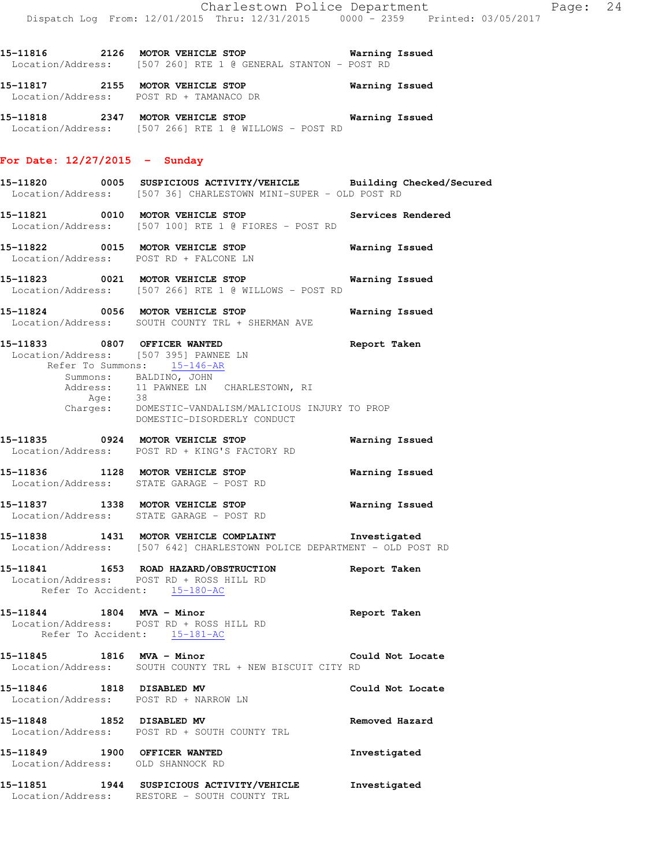**15-11817 2155 MOTOR VEHICLE STOP Warning Issued**  Location/Address: POST RD + TAMANACO DR

**15-11818 2347 MOTOR VEHICLE STOP Warning Issued**  Location/Address: [507 266] RTE 1 @ WILLOWS - POST RD

#### **For Date: 12/27/2015 - Sunday**

- **15-11820 0005 SUSPICIOUS ACTIVITY/VEHICLE Building Checked/Secured**  Location/Address: [507 36] CHARLESTOWN MINI-SUPER - OLD POST RD
- 15-11821 0010 MOTOR VEHICLE STOP **Services Rendered** Location/Address: [507 100] RTE 1 @ FIORES - POST RD
- **15-11822 0015 MOTOR VEHICLE STOP Warning Issued**  Location/Address: POST RD + FALCONE LN
- **15-11823 0021 MOTOR VEHICLE STOP Warning Issued**  Location/Address: [507 266] RTE 1 @ WILLOWS - POST RD
- **15-11824 0056 MOTOR VEHICLE STOP Warning Issued**  Location/Address: SOUTH COUNTY TRL + SHERMAN AVE
- **15-11833 0807 OFFICER WANTED Report Taken**  Location/Address: [507 395] PAWNEE LN Refer To Summons: 15-146-AR Summons: BALDINO, JOHN Address: 11 PAWNEE LN CHARLESTOWN, RI Age: 38 Charges: DOMESTIC-VANDALISM/MALICIOUS INJURY TO PROP
	- DOMESTIC-DISORDERLY CONDUCT
- **15-11835 0924 MOTOR VEHICLE STOP Warning Issued**  Location/Address: POST RD + KING'S FACTORY RD
- **15-11836 1128 MOTOR VEHICLE STOP Warning Issued**  Location/Address: STATE GARAGE - POST RD
- **15-11837 1338 MOTOR VEHICLE STOP Warning Issued**  Location/Address: STATE GARAGE - POST RD
- **15-11838 1431 MOTOR VEHICLE COMPLAINT Investigated**  Location/Address: [507 642] CHARLESTOWN POLICE DEPARTMENT - OLD POST RD
- **15-11841 1653 ROAD HAZARD/OBSTRUCTION Report Taken**  Location/Address: POST RD + ROSS HILL RD Refer To Accident: 15-180-AC
- **15-11844 1804 MVA Minor Report Taken**  Location/Address: POST RD + ROSS HILL RD Refer To Accident: 15-181-AC
- **15-11845 1816 MVA Minor Could Not Locate**  Location/Address: SOUTH COUNTY TRL + NEW BISCUIT CITY RD
- **15-11846 1818 DISABLED MV Could Not Locate**  Location/Address: POST RD + NARROW LN
- **15-11848 1852 DISABLED MV Removed Hazard**  Location/Address: POST RD + SOUTH COUNTY TRL
- **15-11849 1900 OFFICER WANTED Investigated**  Location/Address: OLD SHANNOCK RD
- **15-11851 1944 SUSPICIOUS ACTIVITY/VEHICLE Investigated**  Location/Address: RESTORE - SOUTH COUNTY TRL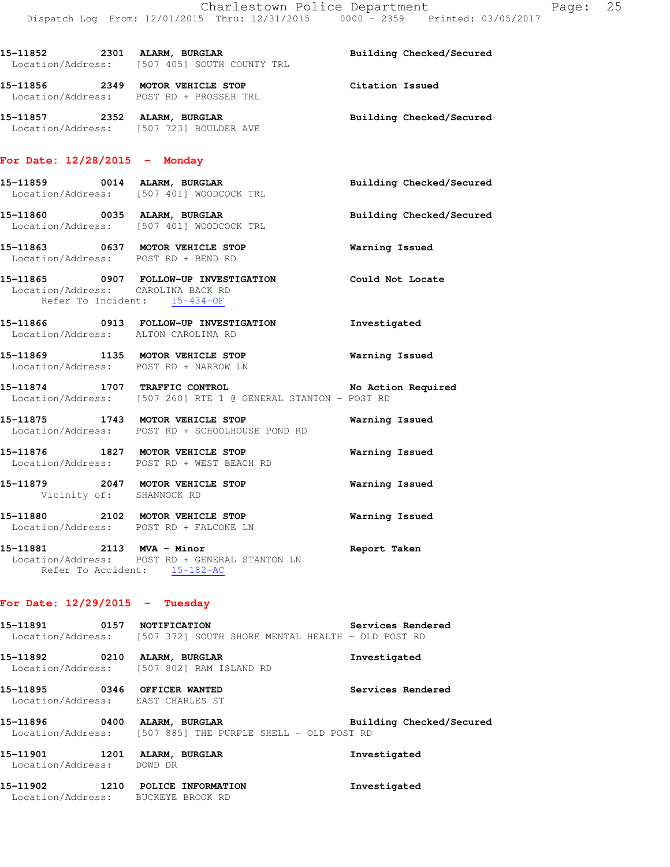15-11852 2301 ALARM, BURGLAR **Building Checked/Secured** 

|                                                                    | Location/Address: [507 405] SOUTH COUNTY TRL                                                                      |                          |
|--------------------------------------------------------------------|-------------------------------------------------------------------------------------------------------------------|--------------------------|
|                                                                    | 15-11856 2349 MOTOR VEHICLE STOP<br>Location/Address: POST RD + PROSSER TRL                                       | Citation Issued          |
|                                                                    | 15-11857 2352 ALARM, BURGLAR<br>Location/Address: [507 723] BOULDER AVE                                           | Building Checked/Secured |
| For Date: $12/28/2015$ - Monday                                    |                                                                                                                   |                          |
|                                                                    | 15-11859 0014 ALARM, BURGLAR<br>Location/Address: [507 401] WOODCOCK TRL                                          | Building Checked/Secured |
|                                                                    | 15-11860 0035 ALARM, BURGLAR<br>Location/Address: [507 401] WOODCOCK TRL                                          | Building Checked/Secured |
|                                                                    | 15-11863 0637 MOTOR VEHICLE STOP<br>Location/Address: POST RD + BEND RD                                           | <b>Warning Issued</b>    |
| Location/Address: CAROLINA BACK RD<br>Refer To Incident: 15-434-OF | 15-11865 0907 FOLLOW-UP INVESTIGATION Could Not Locate                                                            |                          |
| Location/Address: ALTON CAROLINA RD                                | 15-11866 0913 FOLLOW-UP INVESTIGATION                                                                             | Investigated             |
|                                                                    | 15-11869 1135 MOTOR VEHICLE STOP 6 Warning Issued<br>Location/Address: POST RD + NARROW LN                        |                          |
|                                                                    | 15-11874 1707 TRAFFIC CONTROL No Action Required<br>Location/Address: [507 260] RTE 1 @ GENERAL STANTON - POST RD |                          |
|                                                                    | 15-11875 1743 MOTOR VEHICLE STOP<br>Location/Address: POST RD + SCHOOLHOUSE POND RD                               | Warning Issued           |
|                                                                    | 15-11876 1827 MOTOR VEHICLE STOP<br>Location/Address: POST RD + WEST BEACH RD                                     | <b>Warning Issued</b>    |
| Vicinity of: SHANNOCK RD                                           | 15-11879 2047 MOTOR VEHICLE STOP                                                                                  | Warning Issued           |
|                                                                    | 15-11880 2102 MOTOR VEHICLE STOP<br>Location/Address: POST RD + FALCONE LN                                        | Warning Issued           |
|                                                                    | 15-11881 2113 MVA - Minor<br>Location/Address: POST RD + GENERAL STANTON LN<br>Refer To Accident: 15-182-AC       | Report Taken             |
| For Date: $12/29/2015$ - Tuesday                                   |                                                                                                                   |                          |
| 15-11891 0157 NOTIFICATION                                         | Location/Address: [507 372] SOUTH SHORE MENTAL HEALTH - OLD POST RD                                               | Services Rendered        |
| 15-11892 0210 ALARM, BURGLAR                                       | Location/Address: [507 802] RAM ISLAND RD                                                                         | Investigated             |
| 15-11895 0346 OFFICER WANTED<br>Location/Address: EAST CHARLES ST  |                                                                                                                   | Services Rendered        |
|                                                                    | 15-11896 0400 ALARM, BURGLAR<br>Location/Address: [507 885] THE PURPLE SHELL - OLD POST RD                        | Building Checked/Secured |
| 15-11901 1201 ALARM, BURGLAR                                       |                                                                                                                   | Investigated             |

**15-11902 1210 POLICE INFORMATION Investigated**  Location/Address: BUCKEYE BROOK RD

Location/Address: DOWD DR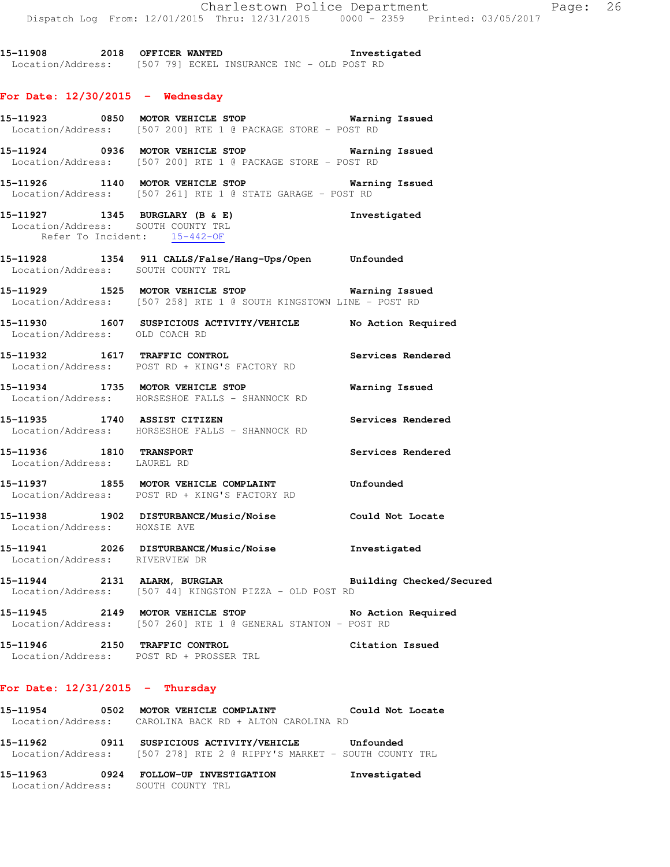**15-11908 2018 OFFICER WANTED Investigated**  Location/Address: [507 79] ECKEL INSURANCE INC - OLD POST RD

## **For Date: 12/30/2015 - Wednesday**

- **15-11923 0850 MOTOR VEHICLE STOP Warning Issued**  Location/Address: [507 200] RTE 1 @ PACKAGE STORE - POST RD
- **15-11924 0936 MOTOR VEHICLE STOP Warning Issued**  Location/Address: [507 200] RTE 1 @ PACKAGE STORE - POST RD
- **15-11926 1140 MOTOR VEHICLE STOP Warning Issued**  Location/Address: [507 261] RTE 1 @ STATE GARAGE - POST RD
- **15-11927 1345 BURGLARY (B & E) Investigated**  Location/Address: SOUTH COUNTY TRL Refer To Incident: 15-442-OF
- **15-11928 1354 911 CALLS/False/Hang-Ups/Open Unfounded**  Location/Address: SOUTH COUNTY TRL
- **15-11929 1525 MOTOR VEHICLE STOP Warning Issued**  Location/Address: [507 258] RTE 1 @ SOUTH KINGSTOWN LINE - POST RD
- **15-11930 1607 SUSPICIOUS ACTIVITY/VEHICLE No Action Required**  Location/Address: OLD COACH RD
- **15-11932 1617 TRAFFIC CONTROL Services Rendered**  Location/Address: POST RD + KING'S FACTORY RD
- **15-11934 1735 MOTOR VEHICLE STOP Warning Issued**  Location/Address: HORSESHOE FALLS - SHANNOCK RD
- **15-11935 1740 ASSIST CITIZEN Services Rendered**  Location/Address: HORSESHOE FALLS - SHANNOCK RD
- **15-11936 1810 TRANSPORT Services Rendered**  Location/Address: LAUREL RD
- **15-11937 1855 MOTOR VEHICLE COMPLAINT Unfounded**  Location/Address: POST RD + KING'S FACTORY RD
- **15-11938 1902 DISTURBANCE/Music/Noise Could Not Locate**  Location/Address: HOXSIE AVE
- **15-11941 2026 DISTURBANCE/Music/Noise Investigated**  Location/Address: RIVERVIEW DR
- **15-11944 2131 ALARM, BURGLAR Building Checked/Secured**  Location/Address: [507 44] KINGSTON PIZZA - OLD POST RD
- **15-11945 2149 MOTOR VEHICLE STOP No Action Required**  Location/Address: [507 260] RTE 1 @ GENERAL STANTON - POST RD
- **15-11946 2150 TRAFFIC CONTROL Citation Issued**  Location/Address: POST RD + PROSSER TRL

## **For Date: 12/31/2015 - Thursday**

**15-11954 0502 MOTOR VEHICLE COMPLAINT Could Not Locate**  Location/Address: CAROLINA BACK RD + ALTON CAROLINA RD **15-11962 0911 SUSPICIOUS ACTIVITY/VEHICLE Unfounded**  Location/Address: [507 278] RTE 2 @ RIPPY'S MARKET - SOUTH COUNTY TRL **15-11963 0924 FOLLOW-UP INVESTIGATION Investigated**  Location/Address: SOUTH COUNTY TRL